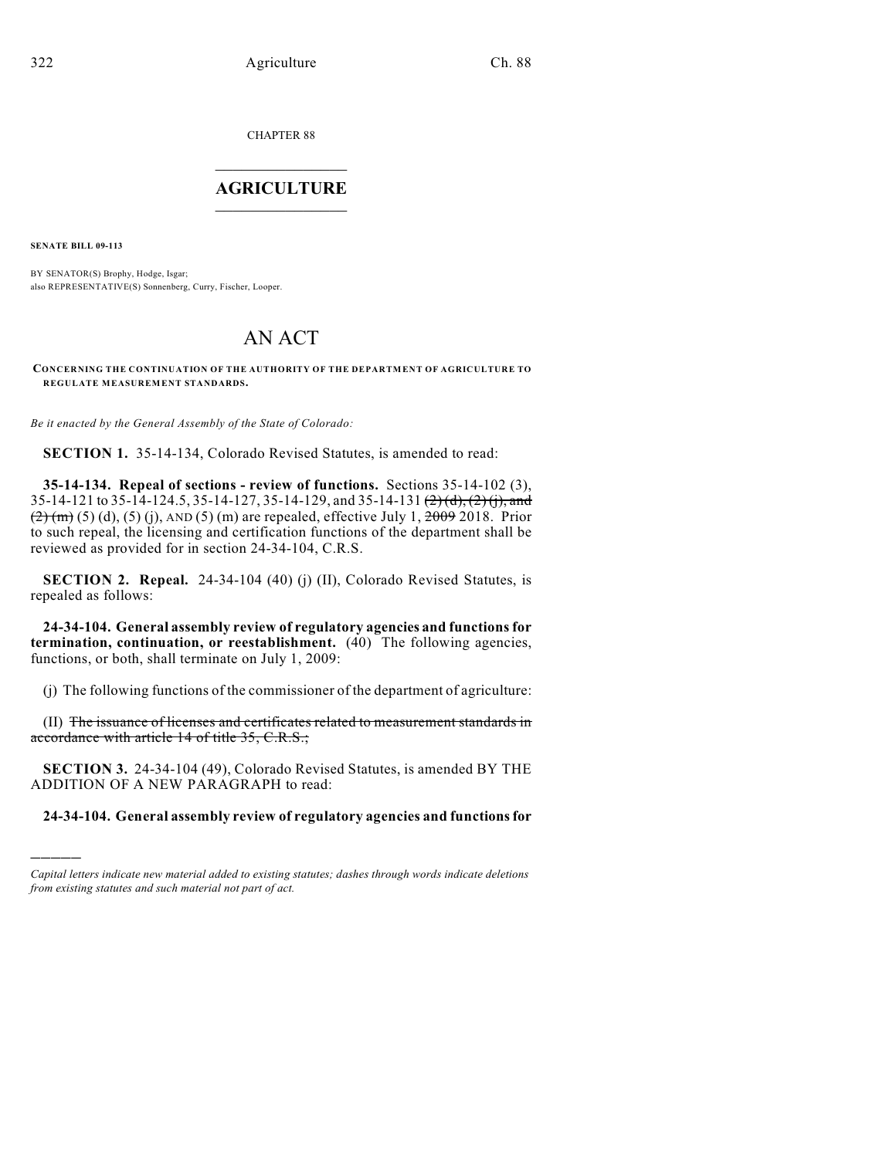CHAPTER 88

## $\mathcal{L}_\text{max}$  . The set of the set of the set of the set of the set of the set of the set of the set of the set of the set of the set of the set of the set of the set of the set of the set of the set of the set of the set **AGRICULTURE**  $\_$   $\_$   $\_$   $\_$   $\_$   $\_$   $\_$   $\_$

**SENATE BILL 09-113**

)))))

BY SENATOR(S) Brophy, Hodge, Isgar; also REPRESENTATIVE(S) Sonnenberg, Curry, Fischer, Looper.

# AN ACT

**CONCERNING THE CONTINUATION OF THE AUTHORITY OF THE DEPARTMENT OF AGRICULTURE TO REGULATE MEASUREMENT STANDARDS.**

*Be it enacted by the General Assembly of the State of Colorado:*

**SECTION 1.** 35-14-134, Colorado Revised Statutes, is amended to read:

**35-14-134. Repeal of sections - review of functions.** Sections 35-14-102 (3), 35-14-121 to 35-14-124.5, 35-14-127, 35-14-129, and 35-14-131  $\left(\frac{2}{2}\right)\left(\frac{1}{2}\right)$ , and  $(2)(m)(5)$  (d), (5) (i), AND (5) (m) are repealed, effective July 1,  $2009$  2018. Prior to such repeal, the licensing and certification functions of the department shall be reviewed as provided for in section 24-34-104, C.R.S.

**SECTION 2. Repeal.** 24-34-104 (40) (j) (II), Colorado Revised Statutes, is repealed as follows:

**24-34-104. General assembly review of regulatory agencies and functions for termination, continuation, or reestablishment.** (40) The following agencies, functions, or both, shall terminate on July 1, 2009:

(j) The following functions of the commissioner of the department of agriculture:

(II) The issuance of licenses and certificates related to measurement standards in accordance with article 14 of title 35, C.R.S.;

**SECTION 3.** 24-34-104 (49), Colorado Revised Statutes, is amended BY THE ADDITION OF A NEW PARAGRAPH to read:

**24-34-104. General assembly review of regulatory agencies and functions for**

*Capital letters indicate new material added to existing statutes; dashes through words indicate deletions from existing statutes and such material not part of act.*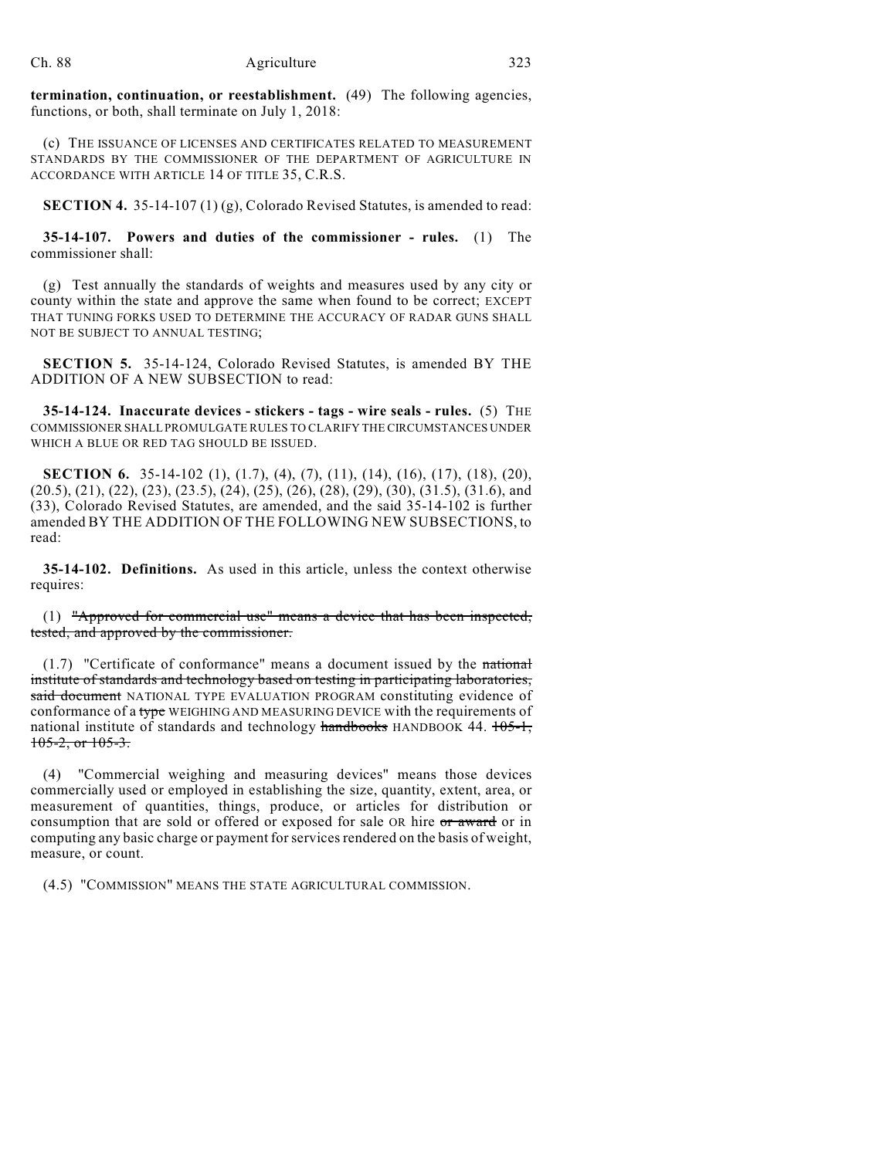**termination, continuation, or reestablishment.** (49) The following agencies, functions, or both, shall terminate on July 1, 2018:

(c) THE ISSUANCE OF LICENSES AND CERTIFICATES RELATED TO MEASUREMENT STANDARDS BY THE COMMISSIONER OF THE DEPARTMENT OF AGRICULTURE IN ACCORDANCE WITH ARTICLE 14 OF TITLE 35, C.R.S.

**SECTION 4.** 35-14-107 (1) (g), Colorado Revised Statutes, is amended to read:

**35-14-107. Powers and duties of the commissioner - rules.** (1) The commissioner shall:

(g) Test annually the standards of weights and measures used by any city or county within the state and approve the same when found to be correct; EXCEPT THAT TUNING FORKS USED TO DETERMINE THE ACCURACY OF RADAR GUNS SHALL NOT BE SUBJECT TO ANNUAL TESTING;

**SECTION 5.** 35-14-124, Colorado Revised Statutes, is amended BY THE ADDITION OF A NEW SUBSECTION to read:

**35-14-124. Inaccurate devices - stickers - tags - wire seals - rules.** (5) THE COMMISSIONER SHALL PROMULGATE RULES TO CLARIFY THE CIRCUMSTANCES UNDER WHICH A BLUE OR RED TAG SHOULD BE ISSUED.

**SECTION 6.** 35-14-102 (1), (1.7), (4), (7), (11), (14), (16), (17), (18), (20), (20.5), (21), (22), (23), (23.5), (24), (25), (26), (28), (29), (30), (31.5), (31.6), and (33), Colorado Revised Statutes, are amended, and the said 35-14-102 is further amended BY THE ADDITION OF THE FOLLOWING NEW SUBSECTIONS, to read:

**35-14-102. Definitions.** As used in this article, unless the context otherwise requires:

(1) "Approved for commercial use" means a device that has been inspected, tested, and approved by the commissioner.

(1.7) "Certificate of conformance" means a document issued by the national institute of standards and technology based on testing in participating laboratories, said document NATIONAL TYPE EVALUATION PROGRAM constituting evidence of conformance of a type WEIGHING AND MEASURING DEVICE with the requirements of national institute of standards and technology handbooks HANDBOOK 44.  $105-1$ ,  $105-2$ , or  $105-3$ .

(4) "Commercial weighing and measuring devices" means those devices commercially used or employed in establishing the size, quantity, extent, area, or measurement of quantities, things, produce, or articles for distribution or consumption that are sold or offered or exposed for sale OR hire or award or in computing any basic charge or payment for services rendered on the basis of weight, measure, or count.

(4.5) "COMMISSION" MEANS THE STATE AGRICULTURAL COMMISSION.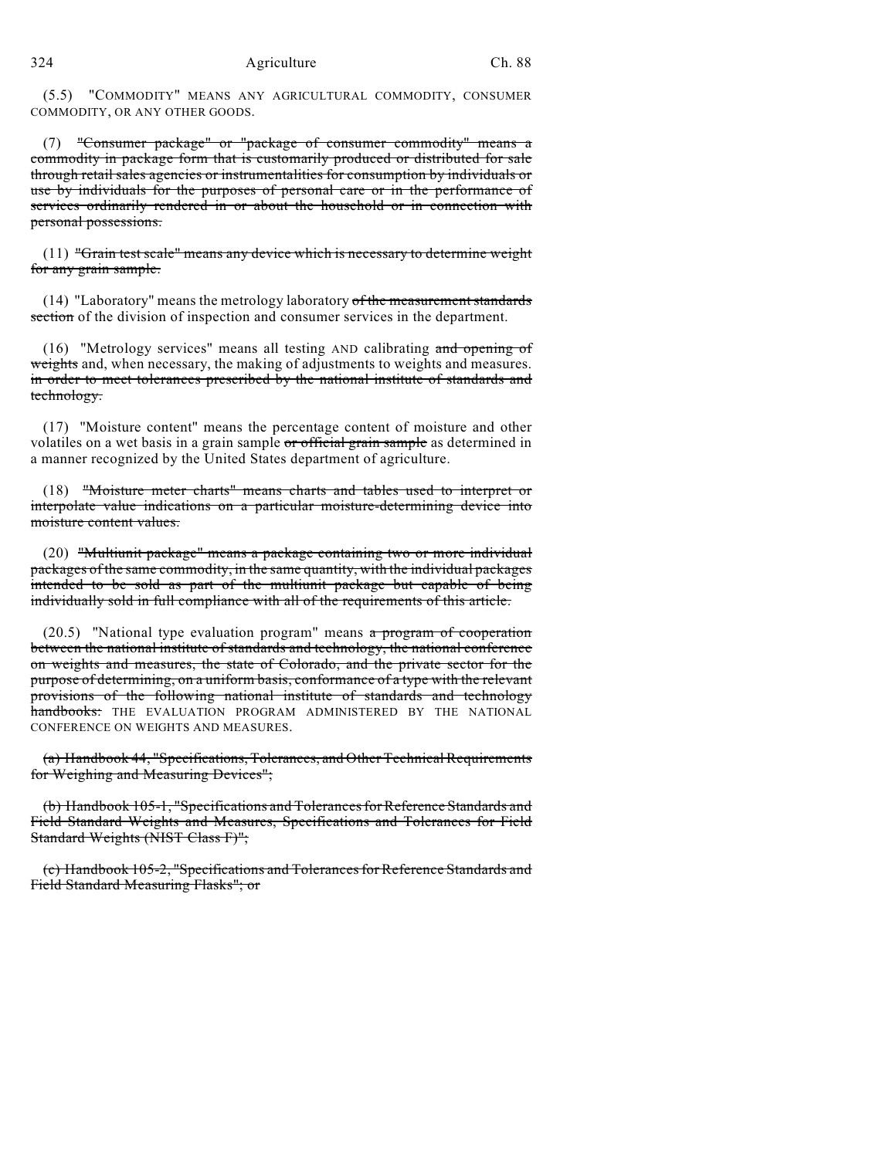(5.5) "COMMODITY" MEANS ANY AGRICULTURAL COMMODITY, CONSUMER COMMODITY, OR ANY OTHER GOODS.

(7) "Consumer package" or "package of consumer commodity" means a commodity in package form that is customarily produced or distributed for sale through retail sales agencies or instrumentalities for consumption by individuals or use by individuals for the purposes of personal care or in the performance of services ordinarily rendered in or about the household or in connection with personal possessions.

(11) "Grain test scale" means any device which is necessary to determine weight for any grain sample.

 $(14)$  "Laboratory" means the metrology laboratory of the measurement standards section of the division of inspection and consumer services in the department.

(16) "Metrology services" means all testing AND calibrating and opening of weights and, when necessary, the making of adjustments to weights and measures. in order to meet tolerances prescribed by the national institute of standards and technology.

(17) "Moisture content" means the percentage content of moisture and other volatiles on a wet basis in a grain sample or official grain sample as determined in a manner recognized by the United States department of agriculture.

(18) "Moisture meter charts" means charts and tables used to interpret or interpolate value indications on a particular moisture-determining device into moisture content values.

(20) "Multiunit package" means a package containing two or more individual packages of the same commodity, in the same quantity, with the individual packages intended to be sold as part of the multiunit package but capable of being individually sold in full compliance with all of the requirements of this article.

 $(20.5)$  "National type evaluation program" means a program of cooperation between the national institute of standards and technology, the national conference on weights and measures, the state of Colorado, and the private sector for the purpose of determining, on a uniform basis, conformance of a type with the relevant provisions of the following national institute of standards and technology handbooks: THE EVALUATION PROGRAM ADMINISTERED BY THE NATIONAL CONFERENCE ON WEIGHTS AND MEASURES.

(a) Handbook 44, "Specifications, Tolerances, and Other Technical Requirements for Weighing and Measuring Devices";

(b) Handbook 105-1, "Specifications and Tolerances for Reference Standards and Field Standard Weights and Measures, Specifications and Tolerances for Field Standard Weights (NIST Class F)";

(c) Handbook 105-2, "Specifications and Tolerances for Reference Standards and Field Standard Measuring Flasks"; or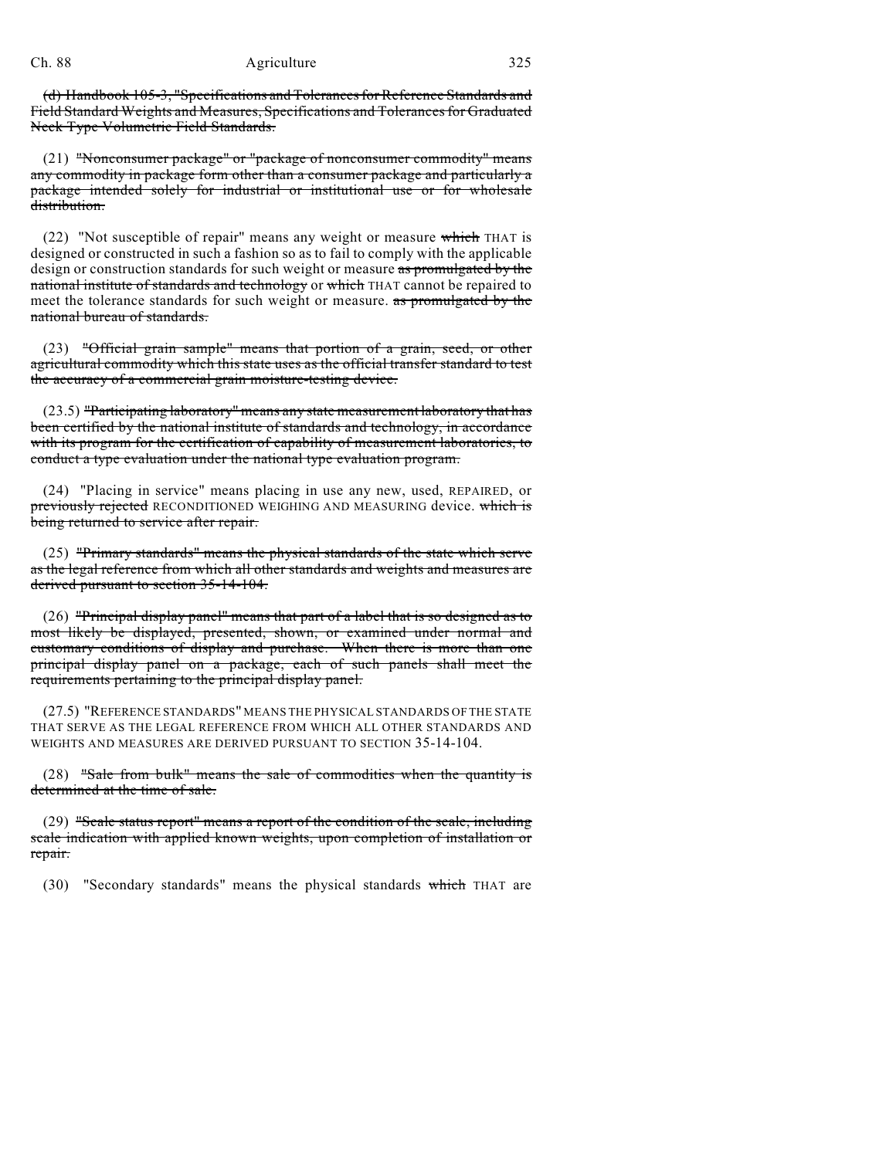(d) Handbook 105-3, "Specifications and Tolerances for Reference Standards and Field Standard Weights and Measures, Specifications and Tolerances for Graduated Neck Type Volumetric Field Standards.

(21) "Nonconsumer package" or "package of nonconsumer commodity" means any commodity in package form other than a consumer package and particularly a package intended solely for industrial or institutional use or for wholesale distribution.

(22) "Not susceptible of repair" means any weight or measure which THAT is designed or constructed in such a fashion so as to fail to comply with the applicable design or construction standards for such weight or measure as promulgated by the national institute of standards and technology or which THAT cannot be repaired to meet the tolerance standards for such weight or measure. as promulgated by the national bureau of standards.

(23) "Official grain sample" means that portion of a grain, seed, or other agricultural commodity which this state uses as the official transfer standard to test the accuracy of a commercial grain moisture-testing device.

(23.5) "Participating laboratory" means any state measurement laboratory that has been certified by the national institute of standards and technology, in accordance with its program for the certification of capability of measurement laboratories, to conduct a type evaluation under the national type evaluation program.

(24) "Placing in service" means placing in use any new, used, REPAIRED, or previously rejected RECONDITIONED WEIGHING AND MEASURING device. which is being returned to service after repair.

(25) "Primary standards" means the physical standards of the state which serve as the legal reference from which all other standards and weights and measures are derived pursuant to section 35-14-104.

(26) "Principal display panel" means that part of a label that is so designed as to most likely be displayed, presented, shown, or examined under normal and customary conditions of display and purchase. When there is more than one principal display panel on a package, each of such panels shall meet the requirements pertaining to the principal display panel.

(27.5) "REFERENCE STANDARDS" MEANS THE PHYSICAL STANDARDS OF THE STATE THAT SERVE AS THE LEGAL REFERENCE FROM WHICH ALL OTHER STANDARDS AND WEIGHTS AND MEASURES ARE DERIVED PURSUANT TO SECTION 35-14-104.

 $(28)$  "Sale from bulk" means the sale of commodities when the quantity is determined at the time of sale.

(29) "Scale status report" means a report of the condition of the scale, including scale indication with applied known weights, upon completion of installation or repair.

(30) "Secondary standards" means the physical standards which THAT are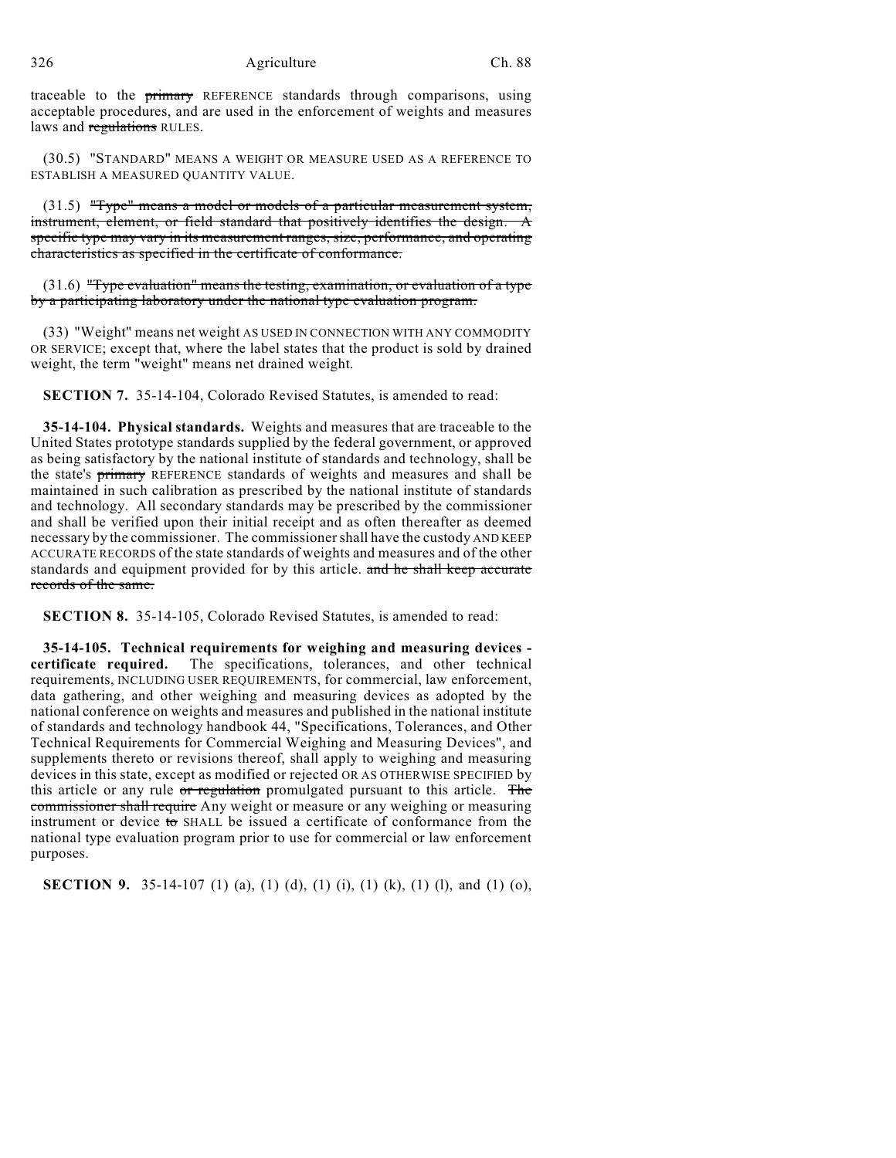traceable to the primary REFERENCE standards through comparisons, using acceptable procedures, and are used in the enforcement of weights and measures laws and regulations RULES.

(30.5) "STANDARD" MEANS A WEIGHT OR MEASURE USED AS A REFERENCE TO ESTABLISH A MEASURED QUANTITY VALUE.

(31.5) "Type" means a model or models of a particular measurement system, instrument, element, or field standard that positively identifies the design. A specific type may vary in its measurement ranges, size, performance, and operating characteristics as specified in the certificate of conformance.

 $(31.6)$  "Type evaluation" means the testing, examination, or evaluation of a type by a participating laboratory under the national type evaluation program.

(33) "Weight" means net weight AS USED IN CONNECTION WITH ANY COMMODITY OR SERVICE; except that, where the label states that the product is sold by drained weight, the term "weight" means net drained weight.

**SECTION 7.** 35-14-104, Colorado Revised Statutes, is amended to read:

**35-14-104. Physical standards.** Weights and measures that are traceable to the United States prototype standards supplied by the federal government, or approved as being satisfactory by the national institute of standards and technology, shall be the state's primary REFERENCE standards of weights and measures and shall be maintained in such calibration as prescribed by the national institute of standards and technology. All secondary standards may be prescribed by the commissioner and shall be verified upon their initial receipt and as often thereafter as deemed necessary by the commissioner. The commissioner shall have the custody AND KEEP ACCURATE RECORDS of the state standards of weights and measures and of the other standards and equipment provided for by this article. and he shall keep accurate records of the same.

**SECTION 8.** 35-14-105, Colorado Revised Statutes, is amended to read:

**35-14-105. Technical requirements for weighing and measuring devices certificate required.** The specifications, tolerances, and other technical requirements, INCLUDING USER REQUIREMENTS, for commercial, law enforcement, data gathering, and other weighing and measuring devices as adopted by the national conference on weights and measures and published in the national institute of standards and technology handbook 44, "Specifications, Tolerances, and Other Technical Requirements for Commercial Weighing and Measuring Devices", and supplements thereto or revisions thereof, shall apply to weighing and measuring devices in this state, except as modified or rejected OR AS OTHERWISE SPECIFIED by this article or any rule or regulation promulgated pursuant to this article. The commissioner shall require Any weight or measure or any weighing or measuring instrument or device to SHALL be issued a certificate of conformance from the national type evaluation program prior to use for commercial or law enforcement purposes.

**SECTION 9.** 35-14-107 (1) (a), (1) (d), (1) (i), (1) (k), (1) (l), and (1) (o),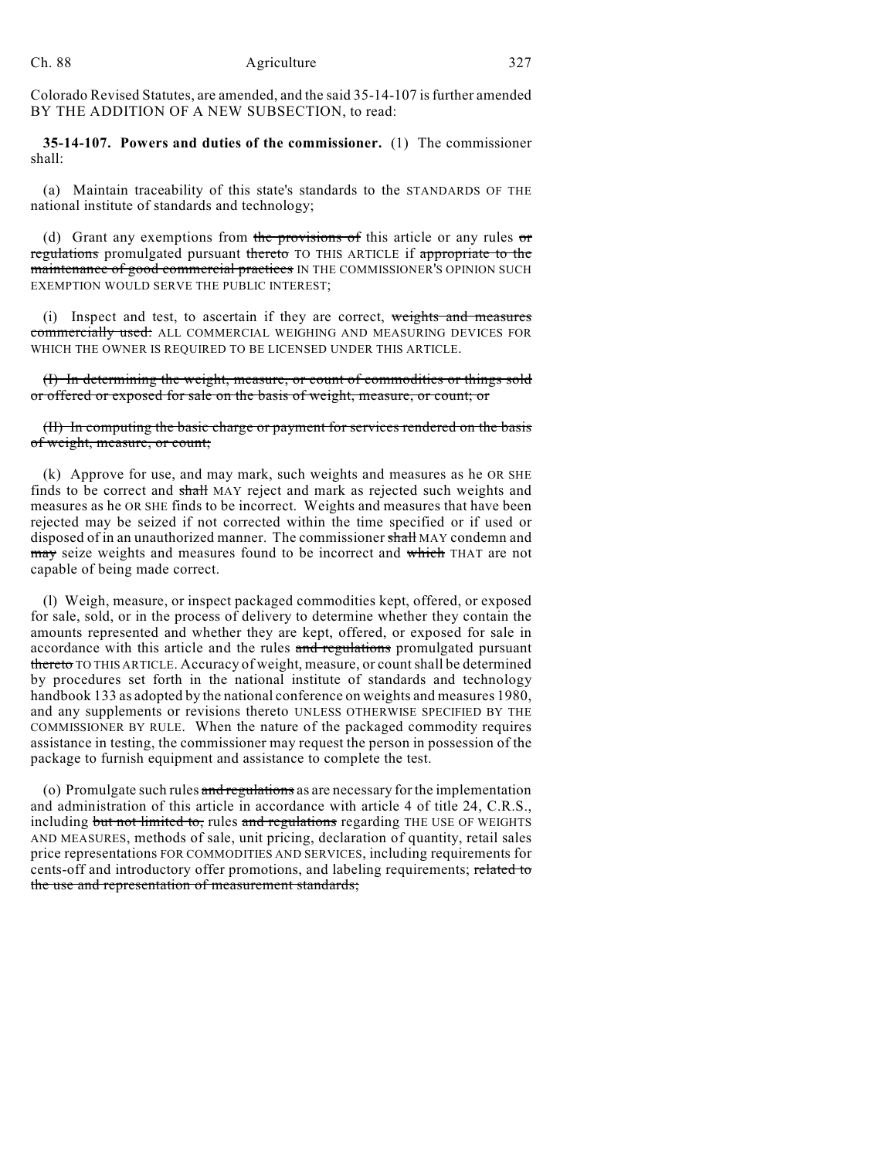Colorado Revised Statutes, are amended, and the said 35-14-107 is further amended BY THE ADDITION OF A NEW SUBSECTION, to read:

**35-14-107. Powers and duties of the commissioner.** (1) The commissioner shall:

(a) Maintain traceability of this state's standards to the STANDARDS OF THE national institute of standards and technology;

(d) Grant any exemptions from the provisions of this article or any rules or regulations promulgated pursuant thereto TO THIS ARTICLE if appropriate to the maintenance of good commercial practices IN THE COMMISSIONER'S OPINION SUCH EXEMPTION WOULD SERVE THE PUBLIC INTEREST;

(i) Inspect and test, to ascertain if they are correct, weights and measures commercially used: ALL COMMERCIAL WEIGHING AND MEASURING DEVICES FOR WHICH THE OWNER IS REQUIRED TO BE LICENSED UNDER THIS ARTICLE.

(I) In determining the weight, measure, or count of commodities or things sold or offered or exposed for sale on the basis of weight, measure, or count; or

## (II) In computing the basic charge or payment for services rendered on the basis of weight, measure, or count;

(k) Approve for use, and may mark, such weights and measures as he OR SHE finds to be correct and shall MAY reject and mark as rejected such weights and measures as he OR SHE finds to be incorrect. Weights and measures that have been rejected may be seized if not corrected within the time specified or if used or disposed of in an unauthorized manner. The commissioner shall MAY condemn and may seize weights and measures found to be incorrect and which THAT are not capable of being made correct.

(l) Weigh, measure, or inspect packaged commodities kept, offered, or exposed for sale, sold, or in the process of delivery to determine whether they contain the amounts represented and whether they are kept, offered, or exposed for sale in accordance with this article and the rules and regulations promulgated pursuant thereto TO THIS ARTICLE. Accuracy of weight, measure, or count shall be determined by procedures set forth in the national institute of standards and technology handbook 133 as adopted by the national conference on weights and measures 1980, and any supplements or revisions thereto UNLESS OTHERWISE SPECIFIED BY THE COMMISSIONER BY RULE. When the nature of the packaged commodity requires assistance in testing, the commissioner may request the person in possession of the package to furnish equipment and assistance to complete the test.

(o) Promulgate such rules and regulations as are necessary for the implementation and administration of this article in accordance with article 4 of title 24, C.R.S., including but not limited to, rules and regulations regarding THE USE OF WEIGHTS AND MEASURES, methods of sale, unit pricing, declaration of quantity, retail sales price representations FOR COMMODITIES AND SERVICES, including requirements for cents-off and introductory offer promotions, and labeling requirements; related to the use and representation of measurement standards;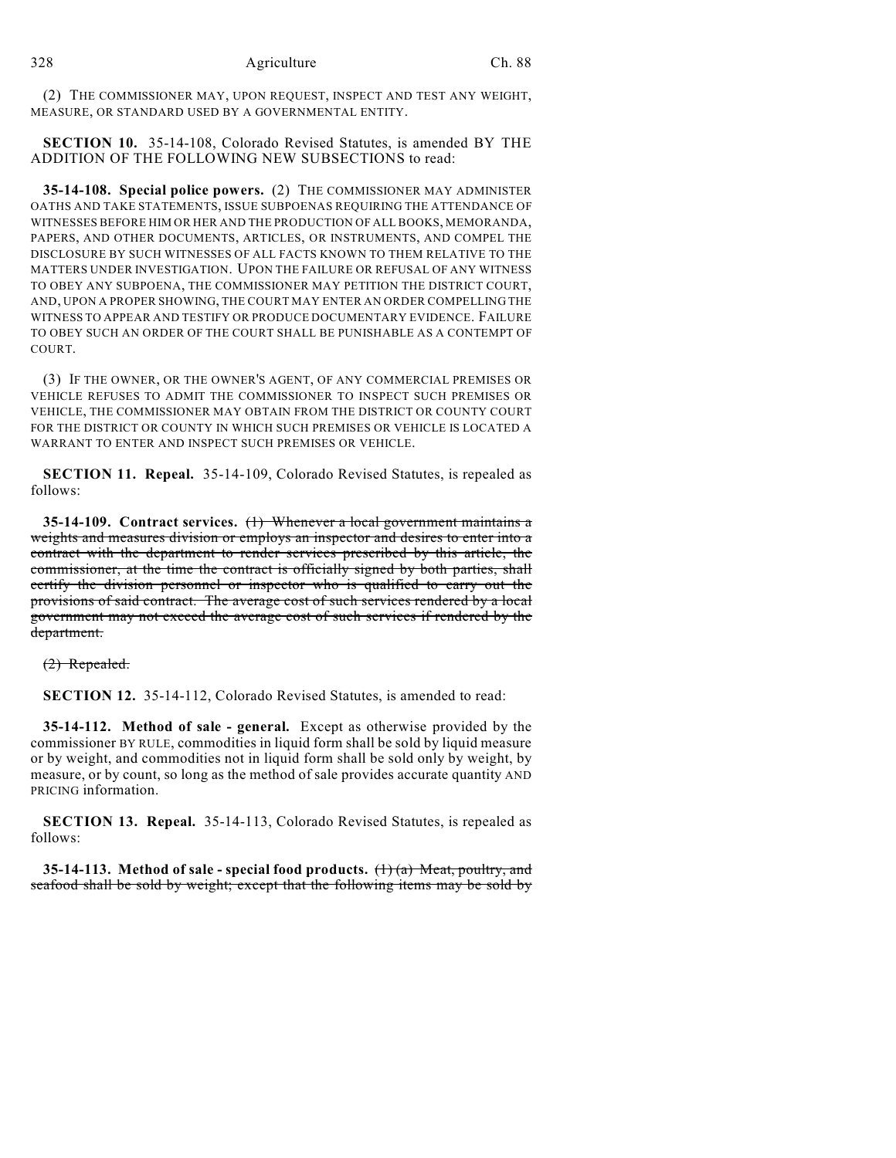(2) THE COMMISSIONER MAY, UPON REQUEST, INSPECT AND TEST ANY WEIGHT, MEASURE, OR STANDARD USED BY A GOVERNMENTAL ENTITY.

**SECTION 10.** 35-14-108, Colorado Revised Statutes, is amended BY THE ADDITION OF THE FOLLOWING NEW SUBSECTIONS to read:

**35-14-108. Special police powers.** (2) THE COMMISSIONER MAY ADMINISTER OATHS AND TAKE STATEMENTS, ISSUE SUBPOENAS REQUIRING THE ATTENDANCE OF WITNESSES BEFORE HIM OR HER AND THE PRODUCTION OF ALL BOOKS, MEMORANDA, PAPERS, AND OTHER DOCUMENTS, ARTICLES, OR INSTRUMENTS, AND COMPEL THE DISCLOSURE BY SUCH WITNESSES OF ALL FACTS KNOWN TO THEM RELATIVE TO THE MATTERS UNDER INVESTIGATION. UPON THE FAILURE OR REFUSAL OF ANY WITNESS TO OBEY ANY SUBPOENA, THE COMMISSIONER MAY PETITION THE DISTRICT COURT, AND, UPON A PROPER SHOWING, THE COURT MAY ENTER AN ORDER COMPELLING THE WITNESS TO APPEAR AND TESTIFY OR PRODUCE DOCUMENTARY EVIDENCE. FAILURE TO OBEY SUCH AN ORDER OF THE COURT SHALL BE PUNISHABLE AS A CONTEMPT OF COURT.

(3) IF THE OWNER, OR THE OWNER'S AGENT, OF ANY COMMERCIAL PREMISES OR VEHICLE REFUSES TO ADMIT THE COMMISSIONER TO INSPECT SUCH PREMISES OR VEHICLE, THE COMMISSIONER MAY OBTAIN FROM THE DISTRICT OR COUNTY COURT FOR THE DISTRICT OR COUNTY IN WHICH SUCH PREMISES OR VEHICLE IS LOCATED A WARRANT TO ENTER AND INSPECT SUCH PREMISES OR VEHICLE.

**SECTION 11. Repeal.** 35-14-109, Colorado Revised Statutes, is repealed as follows:

**35-14-109. Contract services.** (1) Whenever a local government maintains a weights and measures division or employs an inspector and desires to enter into a contract with the department to render services prescribed by this article, the commissioner, at the time the contract is officially signed by both parties, shall certify the division personnel or inspector who is qualified to carry out the provisions of said contract. The average cost of such services rendered by a local government may not exceed the average cost of such services if rendered by the department.

(2) Repealed.

**SECTION 12.** 35-14-112, Colorado Revised Statutes, is amended to read:

**35-14-112. Method of sale - general.** Except as otherwise provided by the commissioner BY RULE, commodities in liquid form shall be sold by liquid measure or by weight, and commodities not in liquid form shall be sold only by weight, by measure, or by count, so long as the method of sale provides accurate quantity AND PRICING information.

**SECTION 13. Repeal.** 35-14-113, Colorado Revised Statutes, is repealed as follows:

**35-14-113. Method of sale - special food products.** (1) (a) Meat, poultry, and seafood shall be sold by weight; except that the following items may be sold by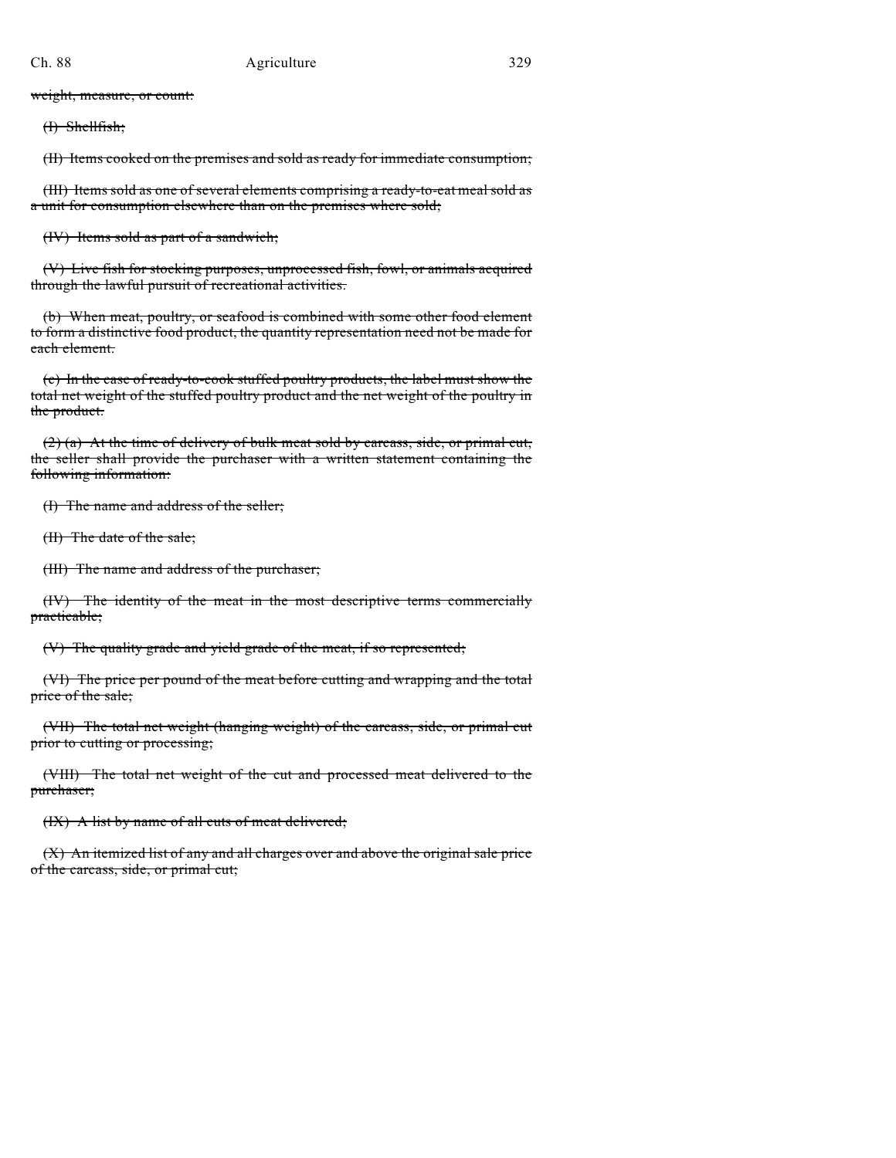weight, measure, or count:

(I) Shellfish;

(II) Items cooked on the premises and sold as ready for immediate consumption;

(III) Items sold as one of several elements comprising a ready-to-eat meal sold as a unit for consumption elsewhere than on the premises where sold;

(IV) Items sold as part of a sandwich;

(V) Live fish for stocking purposes, unprocessed fish, fowl, or animals acquired through the lawful pursuit of recreational activities.

(b) When meat, poultry, or seafood is combined with some other food element to form a distinctive food product, the quantity representation need not be made for each element.

(c) In the case of ready-to-cook stuffed poultry products, the label must show the total net weight of the stuffed poultry product and the net weight of the poultry in the product.

(2) (a) At the time of delivery of bulk meat sold by carcass, side, or primal cut, the seller shall provide the purchaser with a written statement containing the following information:

(I) The name and address of the seller;

(II) The date of the sale;

(III) The name and address of the purchaser;

(IV) The identity of the meat in the most descriptive terms commercially practicable;

(V) The quality grade and yield grade of the meat, if so represented;

(VI) The price per pound of the meat before cutting and wrapping and the total price of the sale;

(VII) The total net weight (hanging weight) of the carcass, side, or primal cut prior to cutting or processing;

(VIII) The total net weight of the cut and processed meat delivered to the purchaser;

(IX) A list by name of all cuts of meat delivered;

(X) An itemized list of any and all charges over and above the original sale price of the carcass, side, or primal cut;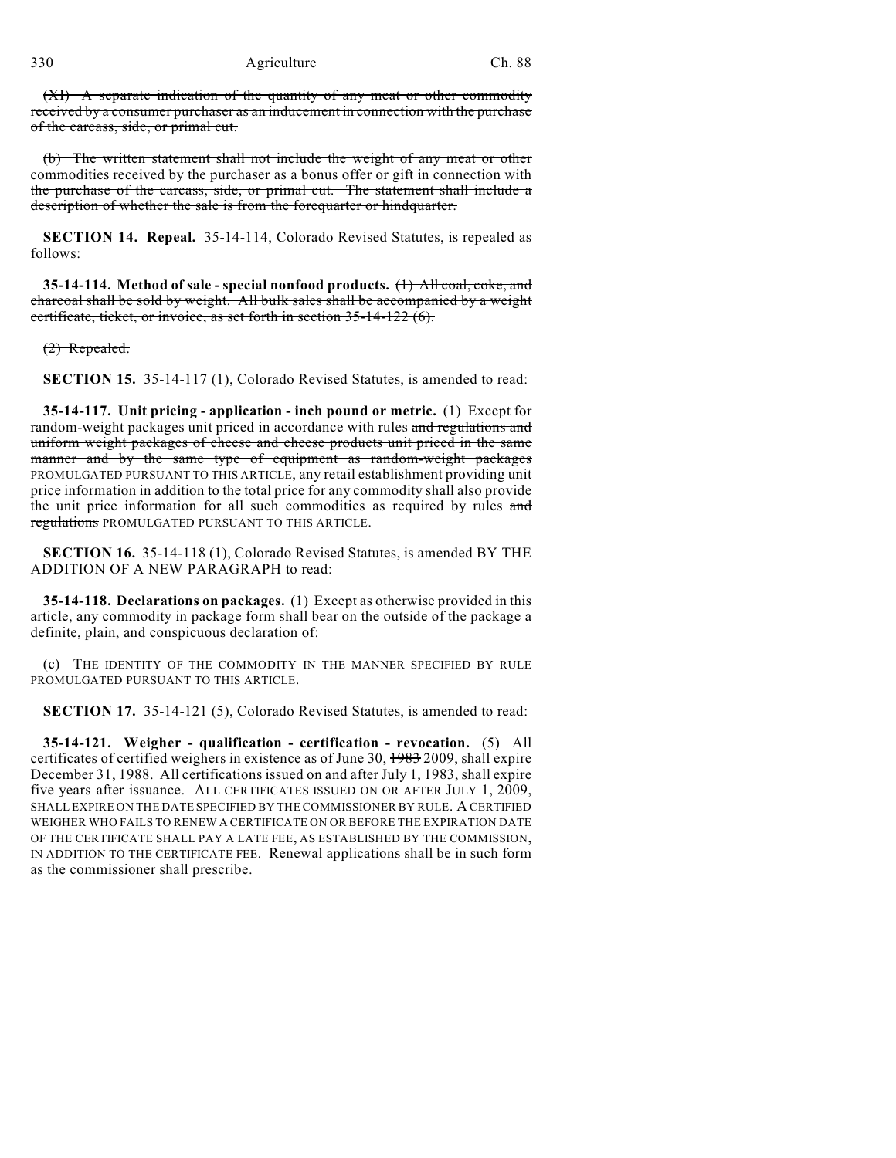(XI) A separate indication of the quantity of any meat or other commodity received by a consumer purchaser as an inducement in connection with the purchase of the carcass, side, or primal cut.

(b) The written statement shall not include the weight of any meat or other commodities received by the purchaser as a bonus offer or gift in connection with the purchase of the carcass, side, or primal cut. The statement shall include a description of whether the sale is from the forequarter or hindquarter.

**SECTION 14. Repeal.** 35-14-114, Colorado Revised Statutes, is repealed as follows:

**35-14-114. Method of sale - special nonfood products.** (1) All coal, coke, and charcoal shall be sold by weight. All bulk sales shall be accompanied by a weight certificate, ticket, or invoice, as set forth in section 35-14-122 (6).

(2) Repealed.

**SECTION 15.** 35-14-117 (1), Colorado Revised Statutes, is amended to read:

**35-14-117. Unit pricing - application - inch pound or metric.** (1) Except for random-weight packages unit priced in accordance with rules and regulations and uniform weight packages of cheese and cheese products unit priced in the same manner and by the same type of equipment as random-weight packages PROMULGATED PURSUANT TO THIS ARTICLE, any retail establishment providing unit price information in addition to the total price for any commodity shall also provide the unit price information for all such commodities as required by rules and regulations PROMULGATED PURSUANT TO THIS ARTICLE.

**SECTION 16.** 35-14-118 (1), Colorado Revised Statutes, is amended BY THE ADDITION OF A NEW PARAGRAPH to read:

**35-14-118. Declarations on packages.** (1) Except as otherwise provided in this article, any commodity in package form shall bear on the outside of the package a definite, plain, and conspicuous declaration of:

(c) THE IDENTITY OF THE COMMODITY IN THE MANNER SPECIFIED BY RULE PROMULGATED PURSUANT TO THIS ARTICLE.

**SECTION 17.** 35-14-121 (5), Colorado Revised Statutes, is amended to read:

**35-14-121. Weigher - qualification - certification - revocation.** (5) All certificates of certified weighers in existence as of June 30, 1983 2009, shall expire December 31, 1988. All certifications issued on and after July 1, 1983, shall expire five years after issuance. ALL CERTIFICATES ISSUED ON OR AFTER JULY 1, 2009, SHALL EXPIRE ON THE DATE SPECIFIED BY THE COMMISSIONER BY RULE. A CERTIFIED WEIGHER WHO FAILS TO RENEW A CERTIFICATE ON OR BEFORE THE EXPIRATION DATE OF THE CERTIFICATE SHALL PAY A LATE FEE, AS ESTABLISHED BY THE COMMISSION, IN ADDITION TO THE CERTIFICATE FEE. Renewal applications shall be in such form as the commissioner shall prescribe.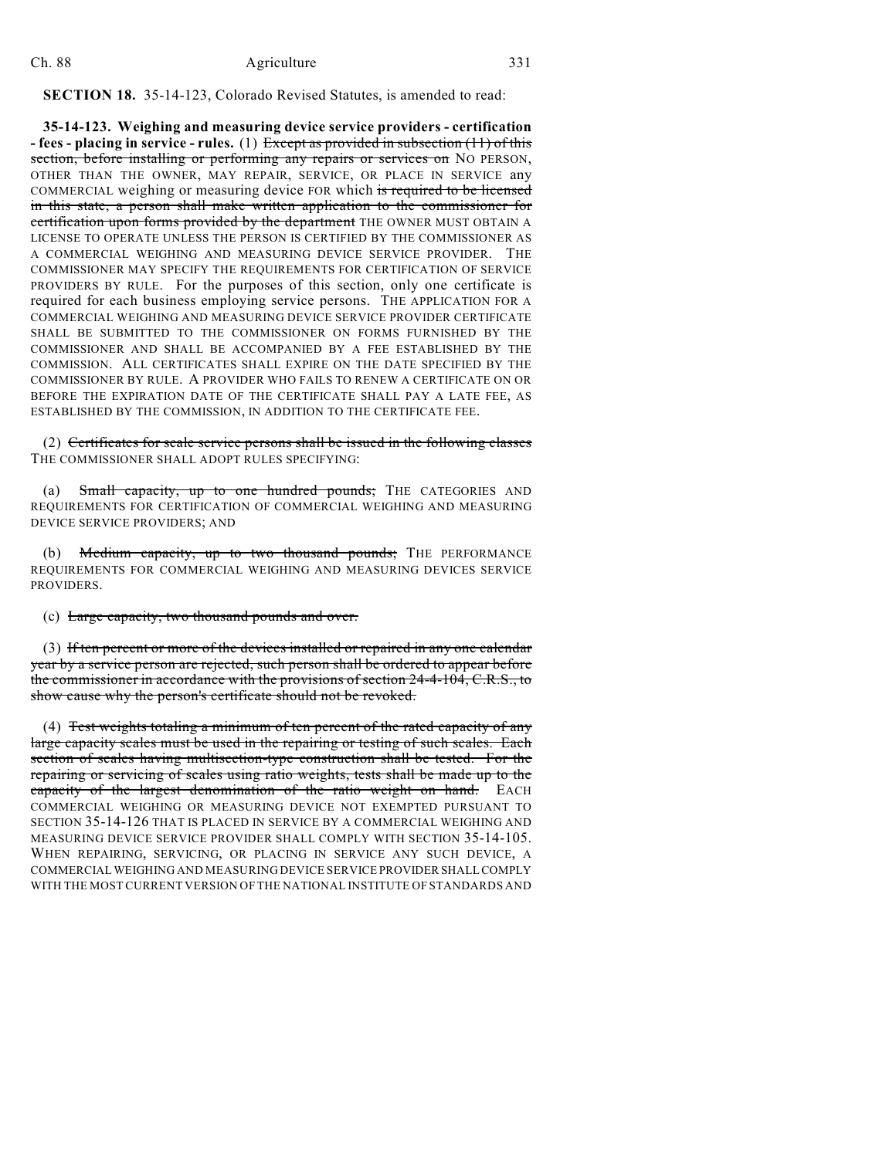**SECTION 18.** 35-14-123, Colorado Revised Statutes, is amended to read:

**35-14-123. Weighing and measuring device service providers - certification - fees - placing in service - rules.** (1) Except as provided in subsection (11) of this section, before installing or performing any repairs or services on NO PERSON, OTHER THAN THE OWNER, MAY REPAIR, SERVICE, OR PLACE IN SERVICE any COMMERCIAL weighing or measuring device FOR which is required to be licensed in this state, a person shall make written application to the commissioner for certification upon forms provided by the department THE OWNER MUST OBTAIN A LICENSE TO OPERATE UNLESS THE PERSON IS CERTIFIED BY THE COMMISSIONER AS A COMMERCIAL WEIGHING AND MEASURING DEVICE SERVICE PROVIDER. THE COMMISSIONER MAY SPECIFY THE REQUIREMENTS FOR CERTIFICATION OF SERVICE PROVIDERS BY RULE. For the purposes of this section, only one certificate is required for each business employing service persons. THE APPLICATION FOR A COMMERCIAL WEIGHING AND MEASURING DEVICE SERVICE PROVIDER CERTIFICATE SHALL BE SUBMITTED TO THE COMMISSIONER ON FORMS FURNISHED BY THE COMMISSIONER AND SHALL BE ACCOMPANIED BY A FEE ESTABLISHED BY THE COMMISSION. ALL CERTIFICATES SHALL EXPIRE ON THE DATE SPECIFIED BY THE COMMISSIONER BY RULE. A PROVIDER WHO FAILS TO RENEW A CERTIFICATE ON OR BEFORE THE EXPIRATION DATE OF THE CERTIFICATE SHALL PAY A LATE FEE, AS ESTABLISHED BY THE COMMISSION, IN ADDITION TO THE CERTIFICATE FEE.

(2) Certificates for scale service persons shall be issued in the following classes THE COMMISSIONER SHALL ADOPT RULES SPECIFYING:

(a) Small capacity, up to one hundred pounds; THE CATEGORIES AND REQUIREMENTS FOR CERTIFICATION OF COMMERCIAL WEIGHING AND MEASURING DEVICE SERVICE PROVIDERS; AND

(b) Medium capacity, up to two thousand pounds; THE PERFORMANCE REQUIREMENTS FOR COMMERCIAL WEIGHING AND MEASURING DEVICES SERVICE PROVIDERS.

(c) Large capacity, two thousand pounds and over.

(3) If ten percent or more of the devices installed or repaired in any one calendar year by a service person are rejected, such person shall be ordered to appear before the commissioner in accordance with the provisions of section 24-4-104, C.R.S., to show cause why the person's certificate should not be revoked.

(4) Test weights totaling a minimum of ten percent of the rated capacity of any large capacity scales must be used in the repairing or testing of such scales. Each section of scales having multisection-type construction shall be tested. For the repairing or servicing of scales using ratio weights, tests shall be made up to the capacity of the largest denomination of the ratio weight on hand. EACH COMMERCIAL WEIGHING OR MEASURING DEVICE NOT EXEMPTED PURSUANT TO SECTION 35-14-126 THAT IS PLACED IN SERVICE BY A COMMERCIAL WEIGHING AND MEASURING DEVICE SERVICE PROVIDER SHALL COMPLY WITH SECTION 35-14-105. WHEN REPAIRING, SERVICING, OR PLACING IN SERVICE ANY SUCH DEVICE, A COMMERCIAL WEIGHING AND MEASURING DEVICE SERVICE PROVIDER SHALL COMPLY WITH THE MOST CURRENT VERSION OF THE NATIONAL INSTITUTE OF STANDARDS AND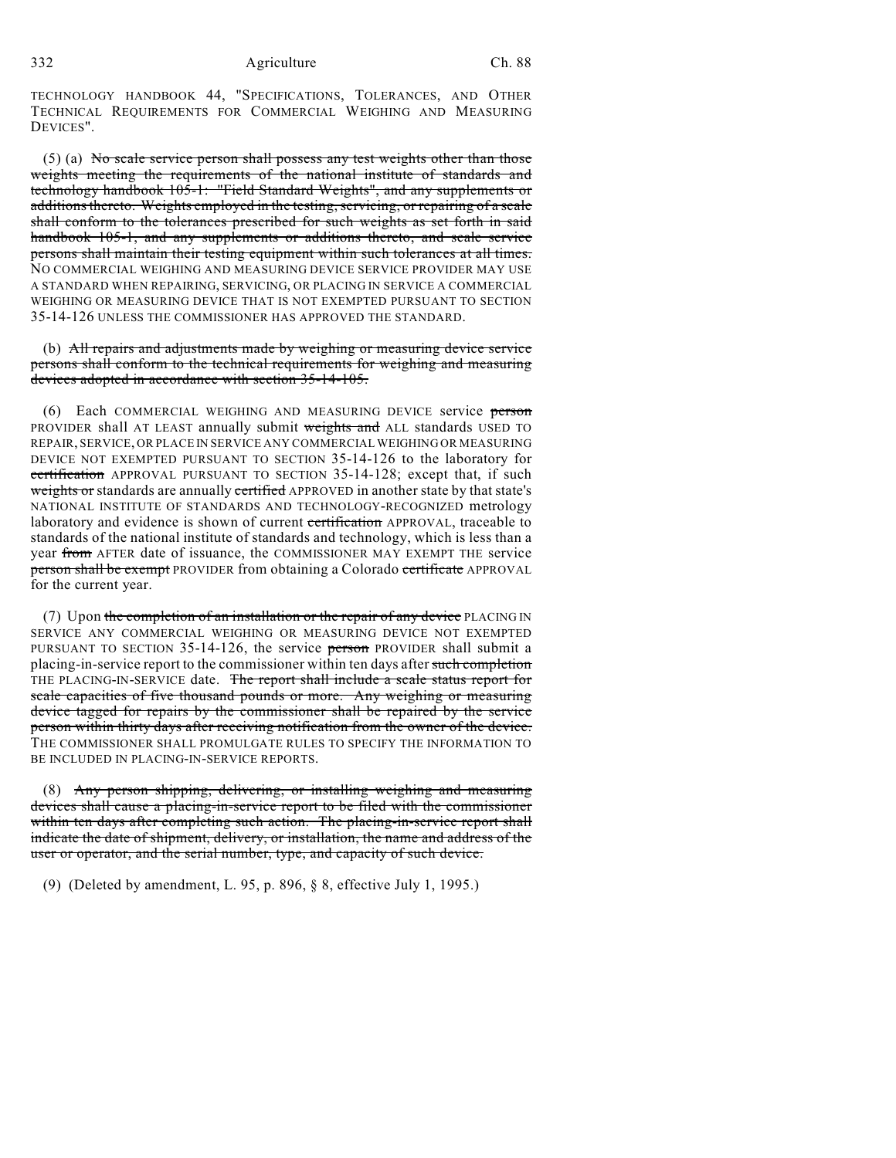TECHNOLOGY HANDBOOK 44, "SPECIFICATIONS, TOLERANCES, AND OTHER TECHNICAL REQUIREMENTS FOR COMMERCIAL WEIGHING AND MEASURING DEVICES".

(5) (a) No scale service person shall possess any test weights other than those weights meeting the requirements of the national institute of standards and technology handbook 105-1: "Field Standard Weights", and any supplements or additions thereto. Weights employed in the testing, servicing, or repairing of a scale shall conform to the tolerances prescribed for such weights as set forth in said handbook 105-1, and any supplements or additions thereto, and scale service persons shall maintain their testing equipment within such tolerances at all times. NO COMMERCIAL WEIGHING AND MEASURING DEVICE SERVICE PROVIDER MAY USE A STANDARD WHEN REPAIRING, SERVICING, OR PLACING IN SERVICE A COMMERCIAL WEIGHING OR MEASURING DEVICE THAT IS NOT EXEMPTED PURSUANT TO SECTION 35-14-126 UNLESS THE COMMISSIONER HAS APPROVED THE STANDARD.

(b) All repairs and adjustments made by weighing or measuring device service persons shall conform to the technical requirements for weighing and measuring devices adopted in accordance with section 35-14-105.

(6) Each COMMERCIAL WEIGHING AND MEASURING DEVICE service person PROVIDER shall AT LEAST annually submit weights and ALL standards USED TO REPAIR, SERVICE, OR PLACE IN SERVICE ANY COMMERCIAL WEIGHING OR MEASURING DEVICE NOT EXEMPTED PURSUANT TO SECTION 35-14-126 to the laboratory for certification APPROVAL PURSUANT TO SECTION 35-14-128; except that, if such weights or standards are annually certified APPROVED in another state by that state's NATIONAL INSTITUTE OF STANDARDS AND TECHNOLOGY-RECOGNIZED metrology laboratory and evidence is shown of current certification APPROVAL, traceable to standards of the national institute of standards and technology, which is less than a year from AFTER date of issuance, the COMMISSIONER MAY EXEMPT THE service person shall be exempt PROVIDER from obtaining a Colorado certificate APPROVAL for the current year.

(7) Upon the completion of an installation or the repair of any device PLACING IN SERVICE ANY COMMERCIAL WEIGHING OR MEASURING DEVICE NOT EXEMPTED PURSUANT TO SECTION 35-14-126, the service person PROVIDER shall submit a placing-in-service report to the commissioner within ten days after such completion THE PLACING-IN-SERVICE date. The report shall include a scale status report for scale capacities of five thousand pounds or more. Any weighing or measuring device tagged for repairs by the commissioner shall be repaired by the service person within thirty days after receiving notification from the owner of the device. THE COMMISSIONER SHALL PROMULGATE RULES TO SPECIFY THE INFORMATION TO BE INCLUDED IN PLACING-IN-SERVICE REPORTS.

(8) Any person shipping, delivering, or installing weighing and measuring devices shall cause a placing-in-service report to be filed with the commissioner within ten days after completing such action. The placing-in-service report shall indicate the date of shipment, delivery, or installation, the name and address of the user or operator, and the serial number, type, and capacity of such device.

(9) (Deleted by amendment, L. 95, p. 896, § 8, effective July 1, 1995.)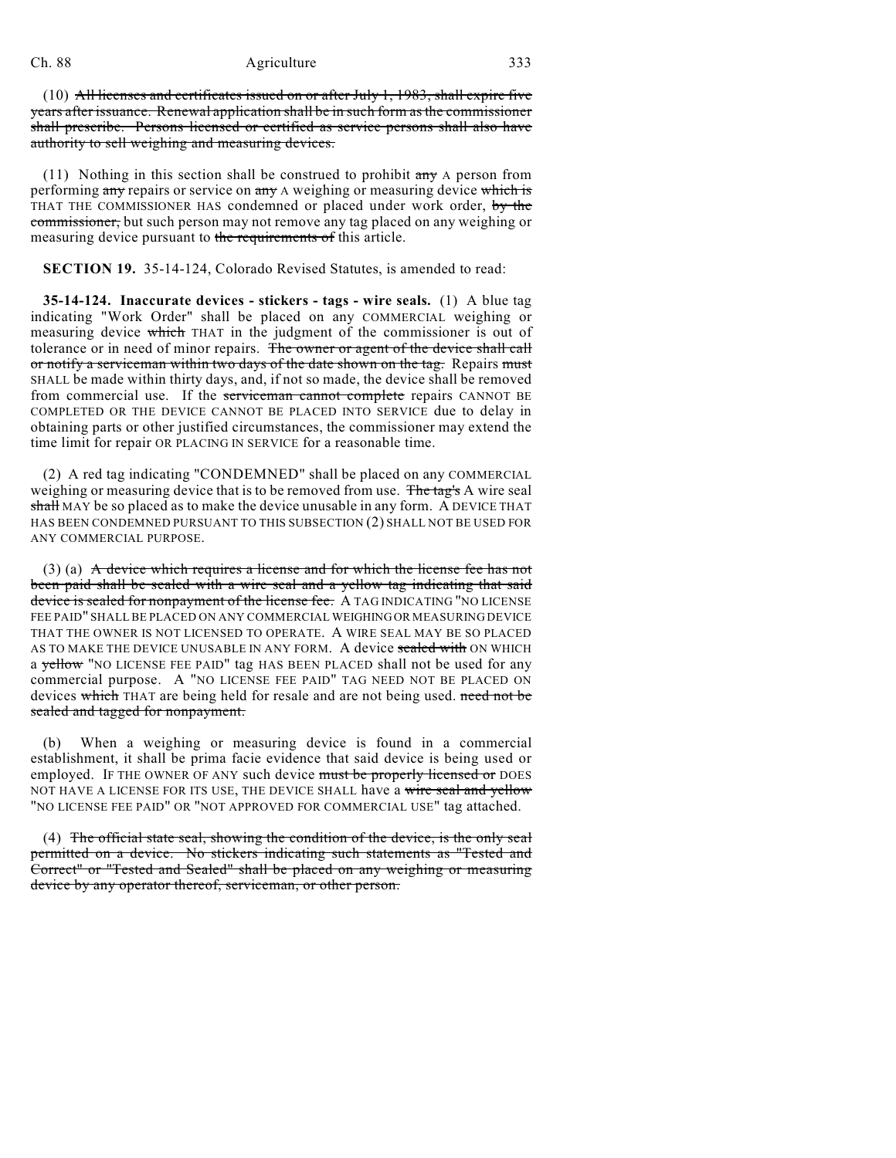(10) All licenses and certificates issued on or after July 1, 1983, shall expire five years after issuance. Renewal application shall be in such form as the commissioner shall prescribe. Persons licensed or certified as service persons shall also have authority to sell weighing and measuring devices.

(11) Nothing in this section shall be construed to prohibit  $\frac{dm}{dt}$  A person from performing any repairs or service on any A weighing or measuring device which is THAT THE COMMISSIONER HAS condemned or placed under work order, by the commissioner, but such person may not remove any tag placed on any weighing or measuring device pursuant to the requirements of this article.

**SECTION 19.** 35-14-124, Colorado Revised Statutes, is amended to read:

**35-14-124. Inaccurate devices - stickers - tags - wire seals.** (1) A blue tag indicating "Work Order" shall be placed on any COMMERCIAL weighing or measuring device which THAT in the judgment of the commissioner is out of tolerance or in need of minor repairs. The owner or agent of the device shall call or notify a serviceman within two days of the date shown on the tag. Repairs must SHALL be made within thirty days, and, if not so made, the device shall be removed from commercial use. If the serviceman cannot complete repairs CANNOT BE COMPLETED OR THE DEVICE CANNOT BE PLACED INTO SERVICE due to delay in obtaining parts or other justified circumstances, the commissioner may extend the time limit for repair OR PLACING IN SERVICE for a reasonable time.

(2) A red tag indicating "CONDEMNED" shall be placed on any COMMERCIAL weighing or measuring device that is to be removed from use. The tag's A wire seal shall MAY be so placed as to make the device unusable in any form. A DEVICE THAT HAS BEEN CONDEMNED PURSUANT TO THIS SUBSECTION (2) SHALL NOT BE USED FOR ANY COMMERCIAL PURPOSE.

(3) (a) A device which requires a license and for which the license fee has not been paid shall be sealed with a wire seal and a yellow tag indicating that said device is sealed for nonpayment of the license fee. A TAG INDICATING "NO LICENSE FEE PAID" SHALL BE PLACED ON ANY COMMERCIAL WEIGHING OR MEASURING DEVICE THAT THE OWNER IS NOT LICENSED TO OPERATE. A WIRE SEAL MAY BE SO PLACED AS TO MAKE THE DEVICE UNUSABLE IN ANY FORM. A device sealed with ON WHICH a yellow "NO LICENSE FEE PAID" tag HAS BEEN PLACED shall not be used for any commercial purpose. A "NO LICENSE FEE PAID" TAG NEED NOT BE PLACED ON devices which THAT are being held for resale and are not being used. need not be sealed and tagged for nonpayment.

(b) When a weighing or measuring device is found in a commercial establishment, it shall be prima facie evidence that said device is being used or employed. IF THE OWNER OF ANY such device must be properly licensed or DOES NOT HAVE A LICENSE FOR ITS USE, THE DEVICE SHALL have a wire seal and yellow "NO LICENSE FEE PAID" OR "NOT APPROVED FOR COMMERCIAL USE" tag attached.

(4) The official state seal, showing the condition of the device, is the only seal permitted on a device. No stickers indicating such statements as "Tested and Correct" or "Tested and Sealed" shall be placed on any weighing or measuring device by any operator thereof, serviceman, or other person.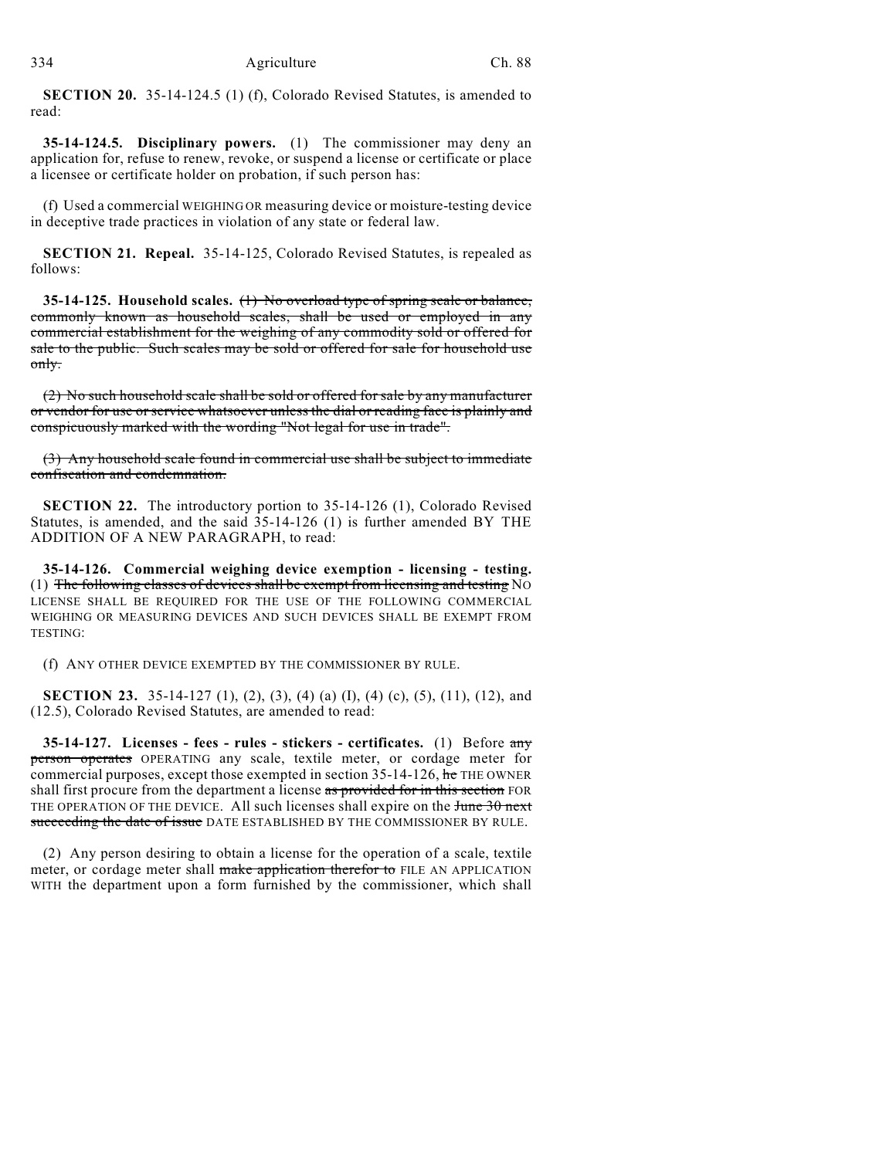**SECTION 20.** 35-14-124.5 (1) (f), Colorado Revised Statutes, is amended to read:

**35-14-124.5. Disciplinary powers.** (1) The commissioner may deny an application for, refuse to renew, revoke, or suspend a license or certificate or place a licensee or certificate holder on probation, if such person has:

(f) Used a commercial WEIGHING OR measuring device or moisture-testing device in deceptive trade practices in violation of any state or federal law.

**SECTION 21. Repeal.** 35-14-125, Colorado Revised Statutes, is repealed as follows:

**35-14-125. Household scales.** (1) No overload type of spring scale or balance, commonly known as household scales, shall be used or employed in any commercial establishment for the weighing of any commodity sold or offered for sale to the public. Such scales may be sold or offered for sale for household use only.

(2) No such household scale shall be sold or offered for sale by any manufacturer or vendor for use or service whatsoever unless the dial or reading face is plainly and conspicuously marked with the wording "Not legal for use in trade".

(3) Any household scale found in commercial use shall be subject to immediate confiscation and condemnation.

**SECTION 22.** The introductory portion to 35-14-126 (1), Colorado Revised Statutes, is amended, and the said 35-14-126 (1) is further amended BY THE ADDITION OF A NEW PARAGRAPH, to read:

**35-14-126. Commercial weighing device exemption - licensing - testing.** (1) The following classes of devices shall be exempt from licensing and testing NO LICENSE SHALL BE REQUIRED FOR THE USE OF THE FOLLOWING COMMERCIAL WEIGHING OR MEASURING DEVICES AND SUCH DEVICES SHALL BE EXEMPT FROM TESTING:

(f) ANY OTHER DEVICE EXEMPTED BY THE COMMISSIONER BY RULE.

**SECTION 23.** 35-14-127 (1), (2), (3), (4) (a) (I), (4) (c), (5), (11), (12), and (12.5), Colorado Revised Statutes, are amended to read:

**35-14-127. Licenses - fees - rules - stickers - certificates.** (1) Before any person operates OPERATING any scale, textile meter, or cordage meter for commercial purposes, except those exempted in section  $35-14-126$ , he THE OWNER shall first procure from the department a license as provided for in this section FOR THE OPERATION OF THE DEVICE. All such licenses shall expire on the  $\frac{1}{20}$  next succeeding the date of issue DATE ESTABLISHED BY THE COMMISSIONER BY RULE.

(2) Any person desiring to obtain a license for the operation of a scale, textile meter, or cordage meter shall make application therefor to FILE AN APPLICATION WITH the department upon a form furnished by the commissioner, which shall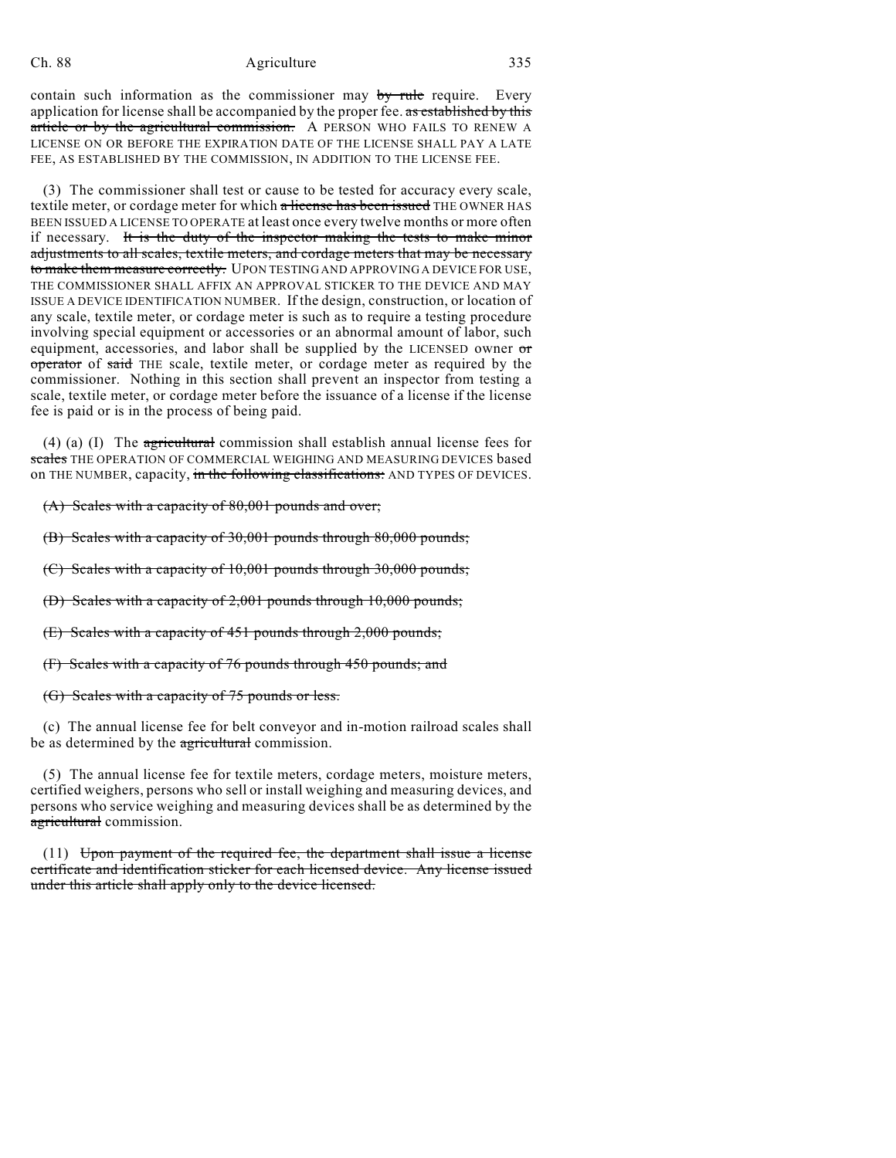contain such information as the commissioner may by rule require. Every application for license shall be accompanied by the proper fee. as established by this article or by the agricultural commission. A PERSON WHO FAILS TO RENEW A LICENSE ON OR BEFORE THE EXPIRATION DATE OF THE LICENSE SHALL PAY A LATE FEE, AS ESTABLISHED BY THE COMMISSION, IN ADDITION TO THE LICENSE FEE.

(3) The commissioner shall test or cause to be tested for accuracy every scale, textile meter, or cordage meter for which a license has been issued THE OWNER HAS BEEN ISSUED A LICENSE TO OPERATE at least once every twelve months or more often if necessary. It is the duty of the inspector making the tests to make minor adjustments to all scales, textile meters, and cordage meters that may be necessary to make them measure correctly. UPON TESTING AND APPROVING A DEVICE FOR USE, THE COMMISSIONER SHALL AFFIX AN APPROVAL STICKER TO THE DEVICE AND MAY ISSUE A DEVICE IDENTIFICATION NUMBER. If the design, construction, or location of any scale, textile meter, or cordage meter is such as to require a testing procedure involving special equipment or accessories or an abnormal amount of labor, such equipment, accessories, and labor shall be supplied by the LICENSED owner or operator of said THE scale, textile meter, or cordage meter as required by the commissioner. Nothing in this section shall prevent an inspector from testing a scale, textile meter, or cordage meter before the issuance of a license if the license fee is paid or is in the process of being paid.

(4) (a) (I) The  $\frac{1}{\sqrt{2}}$  commission shall establish annual license fees for scales THE OPERATION OF COMMERCIAL WEIGHING AND MEASURING DEVICES based on THE NUMBER, capacity, in the following classifications: AND TYPES OF DEVICES.

(A) Scales with a capacity of 80,001 pounds and over;

(B) Scales with a capacity of 30,001 pounds through 80,000 pounds;

(C) Scales with a capacity of 10,001 pounds through 30,000 pounds;

(D) Scales with a capacity of 2,001 pounds through 10,000 pounds;

(E) Scales with a capacity of 451 pounds through 2,000 pounds;

(F) Scales with a capacity of 76 pounds through 450 pounds; and

(G) Scales with a capacity of 75 pounds or less.

(c) The annual license fee for belt conveyor and in-motion railroad scales shall be as determined by the agricultural commission.

(5) The annual license fee for textile meters, cordage meters, moisture meters, certified weighers, persons who sell or install weighing and measuring devices, and persons who service weighing and measuring devices shall be as determined by the agricultural commission.

 $(11)$  Upon payment of the required fee, the department shall issue a license certificate and identification sticker for each licensed device. Any license issued under this article shall apply only to the device licensed.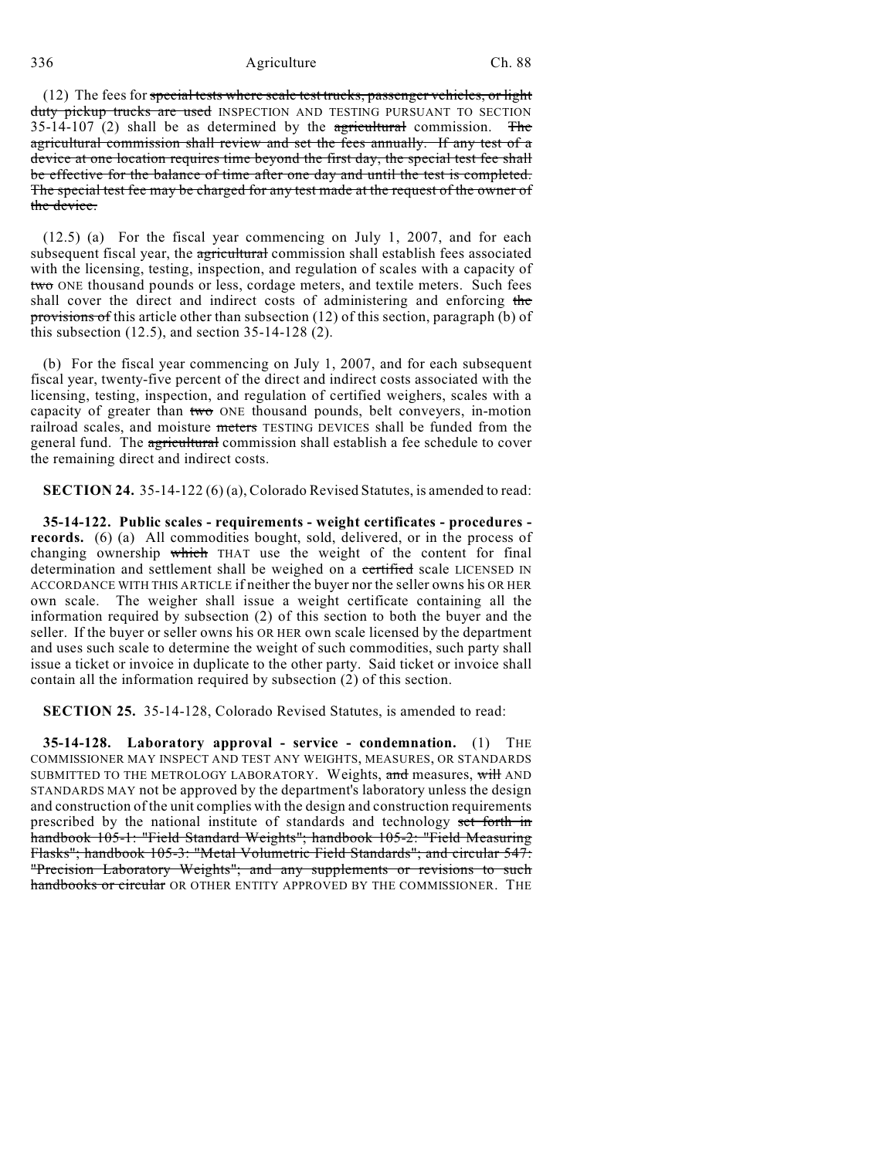(12) The fees for special tests where scale test trucks, passenger vehicles, or light duty pickup trucks are used INSPECTION AND TESTING PURSUANT TO SECTION 35-14-107 (2) shall be as determined by the  $\frac{1}{2}$  agricultural commission. The agricultural commission shall review and set the fees annually. If any test of a device at one location requires time beyond the first day, the special test fee shall be effective for the balance of time after one day and until the test is completed. The special test fee may be charged for any test made at the request of the owner of the device.

(12.5) (a) For the fiscal year commencing on July 1, 2007, and for each subsequent fiscal year, the agricultural commission shall establish fees associated with the licensing, testing, inspection, and regulation of scales with a capacity of two ONE thousand pounds or less, cordage meters, and textile meters. Such fees shall cover the direct and indirect costs of administering and enforcing the provisions of this article other than subsection (12) of this section, paragraph (b) of this subsection  $(12.5)$ , and section  $35-14-128$   $(2)$ .

(b) For the fiscal year commencing on July 1, 2007, and for each subsequent fiscal year, twenty-five percent of the direct and indirect costs associated with the licensing, testing, inspection, and regulation of certified weighers, scales with a capacity of greater than two ONE thousand pounds, belt conveyers, in-motion railroad scales, and moisture meters TESTING DEVICES shall be funded from the general fund. The agricultural commission shall establish a fee schedule to cover the remaining direct and indirect costs.

**SECTION 24.** 35-14-122 (6) (a), Colorado Revised Statutes, is amended to read:

**35-14-122. Public scales - requirements - weight certificates - procedures records.** (6) (a) All commodities bought, sold, delivered, or in the process of changing ownership which THAT use the weight of the content for final determination and settlement shall be weighed on a certified scale LICENSED IN ACCORDANCE WITH THIS ARTICLE if neither the buyer nor the seller owns his OR HER own scale. The weigher shall issue a weight certificate containing all the information required by subsection (2) of this section to both the buyer and the seller. If the buyer or seller owns his OR HER own scale licensed by the department and uses such scale to determine the weight of such commodities, such party shall issue a ticket or invoice in duplicate to the other party. Said ticket or invoice shall contain all the information required by subsection (2) of this section.

**SECTION 25.** 35-14-128, Colorado Revised Statutes, is amended to read:

**35-14-128. Laboratory approval - service - condemnation.** (1) THE COMMISSIONER MAY INSPECT AND TEST ANY WEIGHTS, MEASURES, OR STANDARDS SUBMITTED TO THE METROLOGY LABORATORY. Weights, and measures, will AND STANDARDS MAY not be approved by the department's laboratory unless the design and construction of the unit complies with the design and construction requirements prescribed by the national institute of standards and technology set forth in handbook 105-1: "Field Standard Weights"; handbook 105-2: "Field Measuring Flasks"; handbook 105-3: "Metal Volumetric Field Standards"; and circular 547: "Precision Laboratory Weights"; and any supplements or revisions to such handbooks or circular OR OTHER ENTITY APPROVED BY THE COMMISSIONER. THE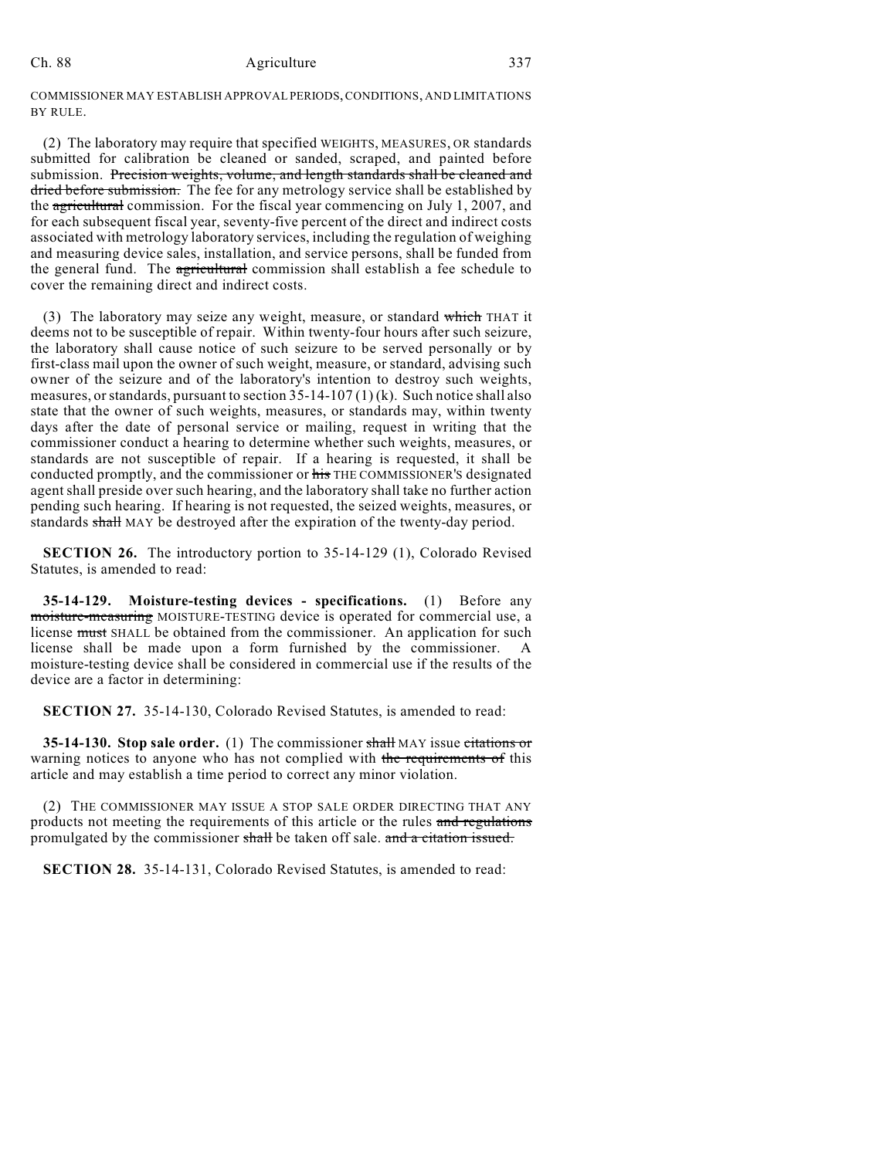COMMISSIONER MAY ESTABLISH APPROVAL PERIODS, CONDITIONS, AND LIMITATIONS BY RULE.

(2) The laboratory may require that specified WEIGHTS, MEASURES, OR standards submitted for calibration be cleaned or sanded, scraped, and painted before submission. Precision weights, volume, and length standards shall be cleaned and dried before submission. The fee for any metrology service shall be established by the agricultural commission. For the fiscal year commencing on July 1, 2007, and for each subsequent fiscal year, seventy-five percent of the direct and indirect costs associated with metrology laboratory services, including the regulation of weighing and measuring device sales, installation, and service persons, shall be funded from the general fund. The agricultural commission shall establish a fee schedule to cover the remaining direct and indirect costs.

(3) The laboratory may seize any weight, measure, or standard which THAT it deems not to be susceptible of repair. Within twenty-four hours after such seizure, the laboratory shall cause notice of such seizure to be served personally or by first-class mail upon the owner of such weight, measure, or standard, advising such owner of the seizure and of the laboratory's intention to destroy such weights, measures, or standards, pursuant to section 35-14-107 (1) (k). Such notice shall also state that the owner of such weights, measures, or standards may, within twenty days after the date of personal service or mailing, request in writing that the commissioner conduct a hearing to determine whether such weights, measures, or standards are not susceptible of repair. If a hearing is requested, it shall be conducted promptly, and the commissioner or his THE COMMISSIONER'S designated agent shall preside over such hearing, and the laboratory shall take no further action pending such hearing. If hearing is not requested, the seized weights, measures, or standards shall MAY be destroyed after the expiration of the twenty-day period.

**SECTION 26.** The introductory portion to 35-14-129 (1), Colorado Revised Statutes, is amended to read:

**35-14-129. Moisture-testing devices - specifications.** (1) Before any moisture-measuring MOISTURE-TESTING device is operated for commercial use, a license must SHALL be obtained from the commissioner. An application for such license shall be made upon a form furnished by the commissioner. A moisture-testing device shall be considered in commercial use if the results of the device are a factor in determining:

**SECTION 27.** 35-14-130, Colorado Revised Statutes, is amended to read:

**35-14-130. Stop sale order.** (1) The commissioner shall MAY issue citations or warning notices to anyone who has not complied with the requirements of this article and may establish a time period to correct any minor violation.

(2) THE COMMISSIONER MAY ISSUE A STOP SALE ORDER DIRECTING THAT ANY products not meeting the requirements of this article or the rules and regulations promulgated by the commissioner shall be taken off sale. and a citation issued.

**SECTION 28.** 35-14-131, Colorado Revised Statutes, is amended to read: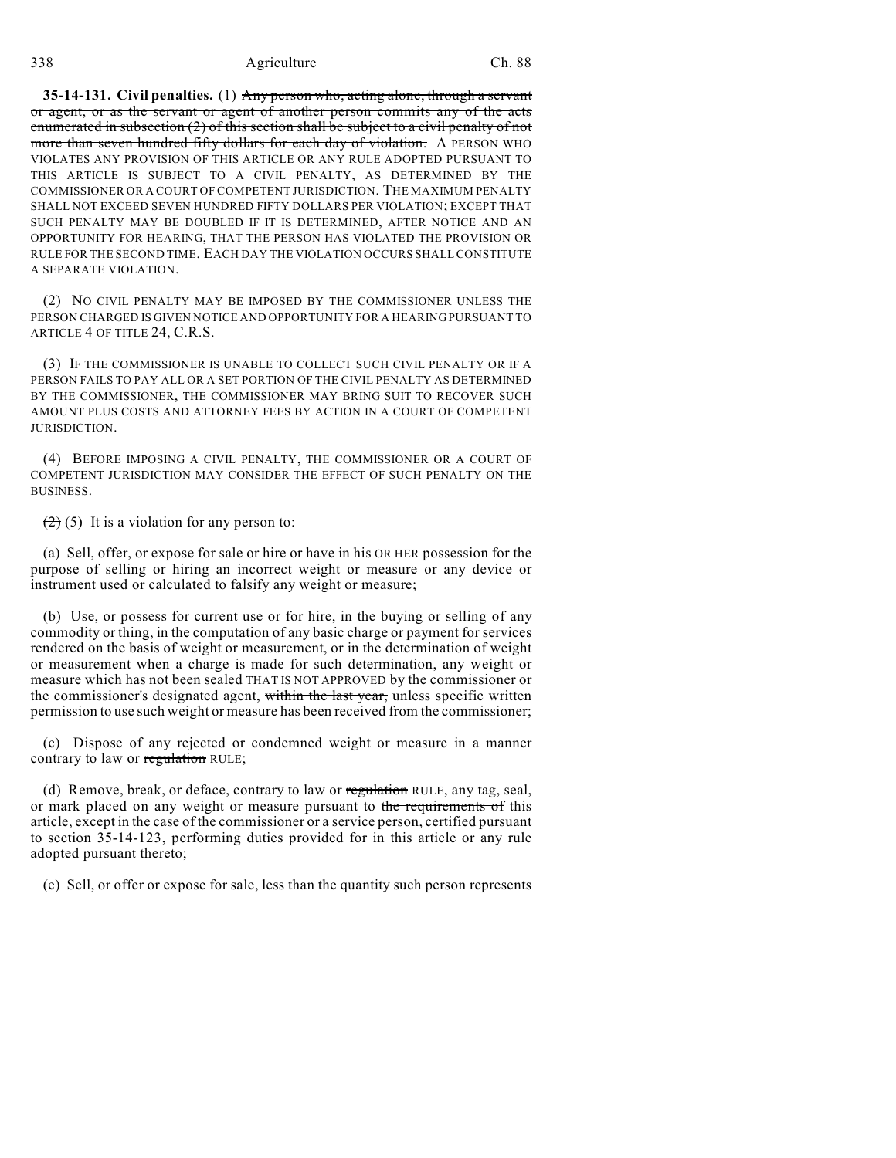**35-14-131. Civil penalties.** (1) Any person who, acting alone, through a servant or agent, or as the servant or agent of another person commits any of the acts enumerated in subsection (2) of this section shall be subject to a civil penalty of not more than seven hundred fifty dollars for each day of violation. A PERSON WHO VIOLATES ANY PROVISION OF THIS ARTICLE OR ANY RULE ADOPTED PURSUANT TO THIS ARTICLE IS SUBJECT TO A CIVIL PENALTY, AS DETERMINED BY THE COMMISSIONER OR A COURT OFCOMPETENT JURISDICTION. THE MAXIMUM PENALTY SHALL NOT EXCEED SEVEN HUNDRED FIFTY DOLLARS PER VIOLATION; EXCEPT THAT SUCH PENALTY MAY BE DOUBLED IF IT IS DETERMINED, AFTER NOTICE AND AN OPPORTUNITY FOR HEARING, THAT THE PERSON HAS VIOLATED THE PROVISION OR RULE FOR THE SECOND TIME. EACH DAY THE VIOLATION OCCURS SHALL CONSTITUTE A SEPARATE VIOLATION.

(2) NO CIVIL PENALTY MAY BE IMPOSED BY THE COMMISSIONER UNLESS THE PERSON CHARGED IS GIVEN NOTICE AND OPPORTUNITY FOR A HEARING PURSUANT TO ARTICLE 4 OF TITLE 24, C.R.S.

(3) IF THE COMMISSIONER IS UNABLE TO COLLECT SUCH CIVIL PENALTY OR IF A PERSON FAILS TO PAY ALL OR A SET PORTION OF THE CIVIL PENALTY AS DETERMINED BY THE COMMISSIONER, THE COMMISSIONER MAY BRING SUIT TO RECOVER SUCH AMOUNT PLUS COSTS AND ATTORNEY FEES BY ACTION IN A COURT OF COMPETENT JURISDICTION.

(4) BEFORE IMPOSING A CIVIL PENALTY, THE COMMISSIONER OR A COURT OF COMPETENT JURISDICTION MAY CONSIDER THE EFFECT OF SUCH PENALTY ON THE **BUSINESS** 

 $(2)$  (5) It is a violation for any person to:

(a) Sell, offer, or expose for sale or hire or have in his OR HER possession for the purpose of selling or hiring an incorrect weight or measure or any device or instrument used or calculated to falsify any weight or measure;

(b) Use, or possess for current use or for hire, in the buying or selling of any commodity or thing, in the computation of any basic charge or payment for services rendered on the basis of weight or measurement, or in the determination of weight or measurement when a charge is made for such determination, any weight or measure which has not been sealed THAT IS NOT APPROVED by the commissioner or the commissioner's designated agent, within the last year, unless specific written permission to use such weight or measure has been received from the commissioner;

(c) Dispose of any rejected or condemned weight or measure in a manner contrary to law or regulation RULE;

(d) Remove, break, or deface, contrary to law or regulation RULE, any tag, seal, or mark placed on any weight or measure pursuant to the requirements of this article, except in the case of the commissioner or a service person, certified pursuant to section 35-14-123, performing duties provided for in this article or any rule adopted pursuant thereto;

(e) Sell, or offer or expose for sale, less than the quantity such person represents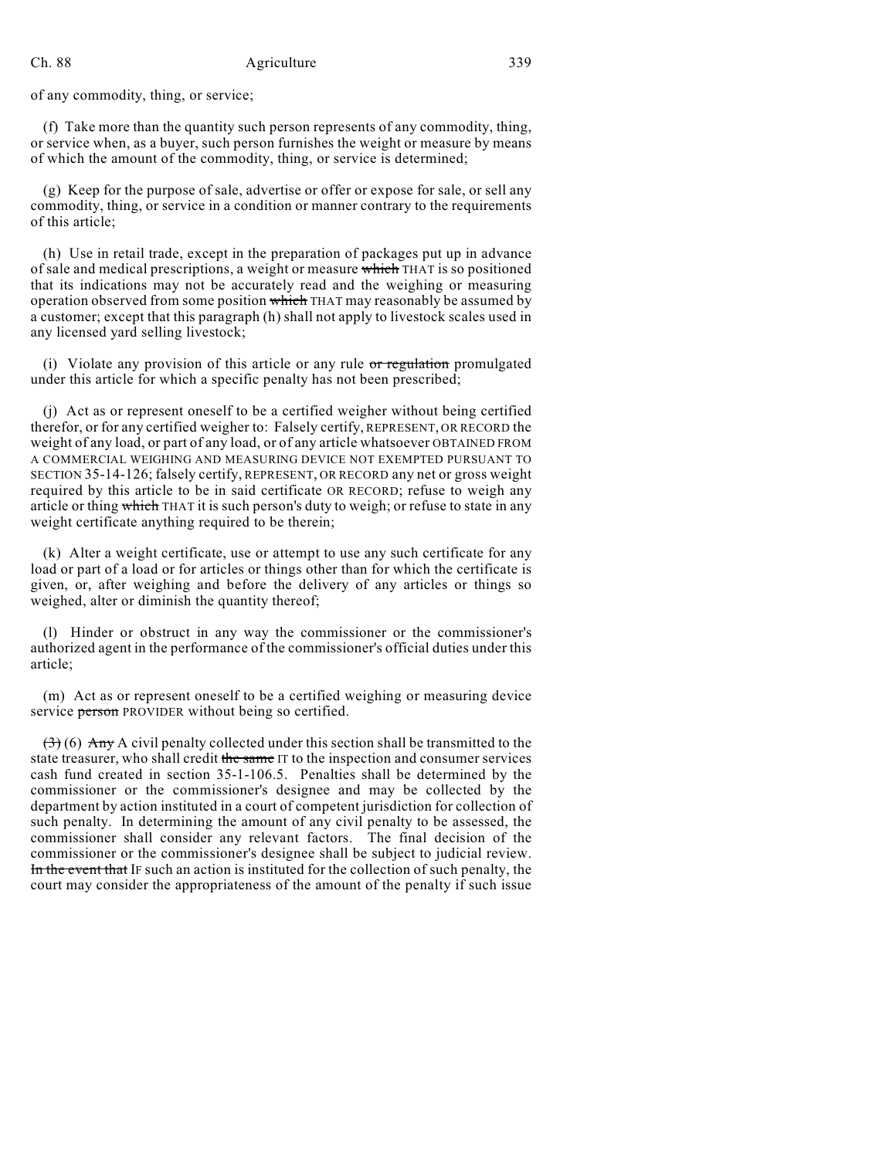of any commodity, thing, or service;

(f) Take more than the quantity such person represents of any commodity, thing, or service when, as a buyer, such person furnishes the weight or measure by means of which the amount of the commodity, thing, or service is determined;

(g) Keep for the purpose of sale, advertise or offer or expose for sale, or sell any commodity, thing, or service in a condition or manner contrary to the requirements of this article;

(h) Use in retail trade, except in the preparation of packages put up in advance of sale and medical prescriptions, a weight or measure which THAT is so positioned that its indications may not be accurately read and the weighing or measuring operation observed from some position which THAT may reasonably be assumed by a customer; except that this paragraph (h) shall not apply to livestock scales used in any licensed yard selling livestock;

(i) Violate any provision of this article or any rule  $\sigma r$  regulation promulgated under this article for which a specific penalty has not been prescribed;

(j) Act as or represent oneself to be a certified weigher without being certified therefor, or for any certified weigher to: Falsely certify, REPRESENT, OR RECORD the weight of any load, or part of any load, or of any article whatsoever OBTAINED FROM A COMMERCIAL WEIGHING AND MEASURING DEVICE NOT EXEMPTED PURSUANT TO SECTION 35-14-126; falsely certify, REPRESENT, OR RECORD any net or gross weight required by this article to be in said certificate OR RECORD; refuse to weigh any article or thing which THAT it is such person's duty to weigh; or refuse to state in any weight certificate anything required to be therein;

(k) Alter a weight certificate, use or attempt to use any such certificate for any load or part of a load or for articles or things other than for which the certificate is given, or, after weighing and before the delivery of any articles or things so weighed, alter or diminish the quantity thereof;

(l) Hinder or obstruct in any way the commissioner or the commissioner's authorized agent in the performance of the commissioner's official duties under this article;

(m) Act as or represent oneself to be a certified weighing or measuring device service person PROVIDER without being so certified.

 $(3)$  (6) Any A civil penalty collected under this section shall be transmitted to the state treasurer, who shall credit the same IT to the inspection and consumer services cash fund created in section 35-1-106.5. Penalties shall be determined by the commissioner or the commissioner's designee and may be collected by the department by action instituted in a court of competent jurisdiction for collection of such penalty. In determining the amount of any civil penalty to be assessed, the commissioner shall consider any relevant factors. The final decision of the commissioner or the commissioner's designee shall be subject to judicial review. In the event that IF such an action is instituted for the collection of such penalty, the court may consider the appropriateness of the amount of the penalty if such issue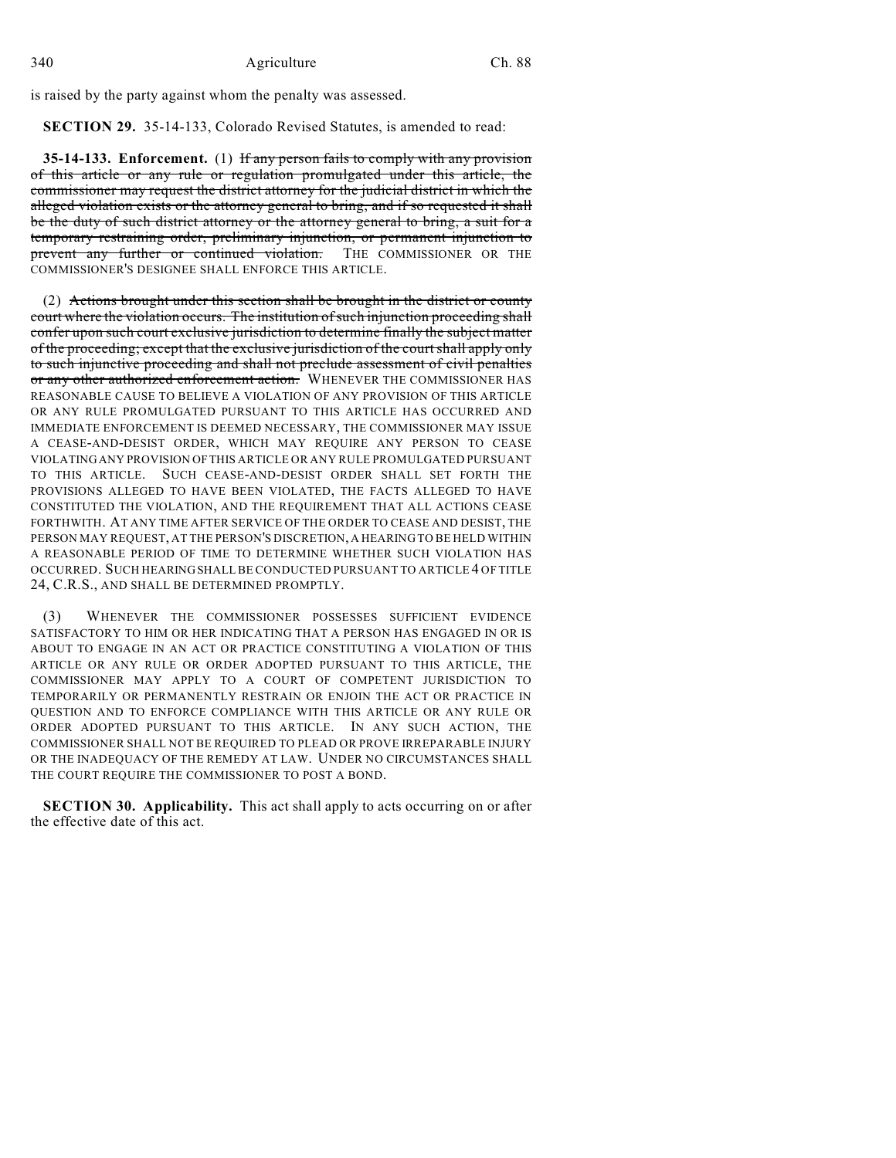is raised by the party against whom the penalty was assessed.

**SECTION 29.** 35-14-133, Colorado Revised Statutes, is amended to read:

**35-14-133. Enforcement.** (1) If any person fails to comply with any provision of this article or any rule or regulation promulgated under this article, the commissioner may request the district attorney for the judicial district in which the alleged violation exists or the attorney general to bring, and if so requested it shall be the duty of such district attorney or the attorney general to bring, a suit for a temporary restraining order, preliminary injunction, or permanent injunction to prevent any further or continued violation. THE COMMISSIONER OR THE COMMISSIONER'S DESIGNEE SHALL ENFORCE THIS ARTICLE.

(2) Actions brought under this section shall be brought in the district or county court where the violation occurs. The institution of such injunction proceeding shall confer upon such court exclusive jurisdiction to determine finally the subject matter of the proceeding; except that the exclusive jurisdiction of the court shall apply only to such injunctive proceeding and shall not preclude assessment of civil penalties or any other authorized enforcement action. WHENEVER THE COMMISSIONER HAS REASONABLE CAUSE TO BELIEVE A VIOLATION OF ANY PROVISION OF THIS ARTICLE OR ANY RULE PROMULGATED PURSUANT TO THIS ARTICLE HAS OCCURRED AND IMMEDIATE ENFORCEMENT IS DEEMED NECESSARY, THE COMMISSIONER MAY ISSUE A CEASE-AND-DESIST ORDER, WHICH MAY REQUIRE ANY PERSON TO CEASE VIOLATING ANY PROVISION OF THIS ARTICLE OR ANY RULE PROMULGATED PURSUANT TO THIS ARTICLE. SUCH CEASE-AND-DESIST ORDER SHALL SET FORTH THE PROVISIONS ALLEGED TO HAVE BEEN VIOLATED, THE FACTS ALLEGED TO HAVE CONSTITUTED THE VIOLATION, AND THE REQUIREMENT THAT ALL ACTIONS CEASE FORTHWITH. AT ANY TIME AFTER SERVICE OF THE ORDER TO CEASE AND DESIST, THE PERSON MAY REQUEST, AT THE PERSON'S DISCRETION, A HEARING TO BE HELD WITHIN A REASONABLE PERIOD OF TIME TO DETERMINE WHETHER SUCH VIOLATION HAS OCCURRED. SUCH HEARING SHALL BE CONDUCTED PURSUANT TO ARTICLE 4 OF TITLE 24, C.R.S., AND SHALL BE DETERMINED PROMPTLY.

(3) WHENEVER THE COMMISSIONER POSSESSES SUFFICIENT EVIDENCE SATISFACTORY TO HIM OR HER INDICATING THAT A PERSON HAS ENGAGED IN OR IS ABOUT TO ENGAGE IN AN ACT OR PRACTICE CONSTITUTING A VIOLATION OF THIS ARTICLE OR ANY RULE OR ORDER ADOPTED PURSUANT TO THIS ARTICLE, THE COMMISSIONER MAY APPLY TO A COURT OF COMPETENT JURISDICTION TO TEMPORARILY OR PERMANENTLY RESTRAIN OR ENJOIN THE ACT OR PRACTICE IN QUESTION AND TO ENFORCE COMPLIANCE WITH THIS ARTICLE OR ANY RULE OR ORDER ADOPTED PURSUANT TO THIS ARTICLE. IN ANY SUCH ACTION, THE COMMISSIONER SHALL NOT BE REQUIRED TO PLEAD OR PROVE IRREPARABLE INJURY OR THE INADEQUACY OF THE REMEDY AT LAW. UNDER NO CIRCUMSTANCES SHALL THE COURT REQUIRE THE COMMISSIONER TO POST A BOND.

**SECTION 30. Applicability.** This act shall apply to acts occurring on or after the effective date of this act.